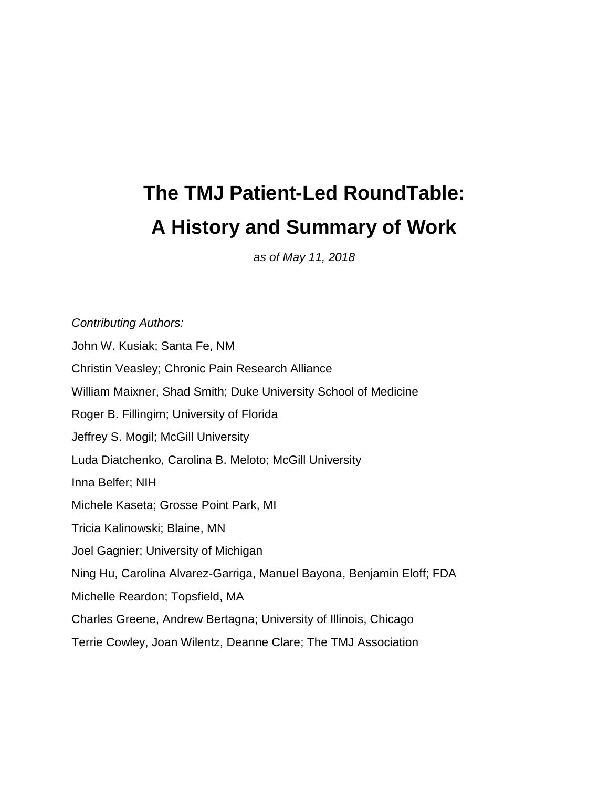## **The TMJ Patient-Led RoundTable: A History and Summary of Work**

*as of May 11, 2018*

*Contributing Authors:* John W. Kusiak; Santa Fe, NM Christin Veasley; Chronic Pain Research Alliance William Maixner, Shad Smith; Duke University School of Medicine Roger B. Fillingim; University of Florida Jeffrey S. Mogil; McGill University Luda Diatchenko, Carolina B. Meloto; McGill University Inna Belfer; NIH Michele Kaseta; Grosse Point Park, MI Tricia Kalinowski; Blaine, MN Joel Gagnier; University of Michigan Ning Hu, Carolina Alvarez-Garriga, Manuel Bayona, Benjamin Eloff; FDA Michelle Reardon; Topsfield, MA Charles Greene, Andrew Bertagna; University of Illinois, Chicago Terrie Cowley, Joan Wilentz, Deanne Clare; The TMJ Association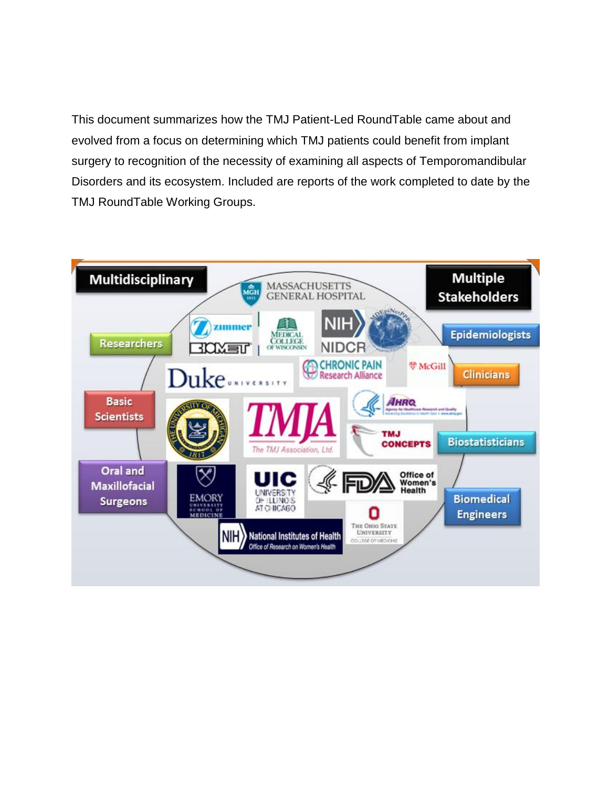This document summarizes how the TMJ Patient-Led RoundTable came about and evolved from a focus on determining which TMJ patients could benefit from implant surgery to recognition of the necessity of examining all aspects of Temporomandibular Disorders and its ecosystem. Included are reports of the work completed to date by the TMJ RoundTable Working Groups.

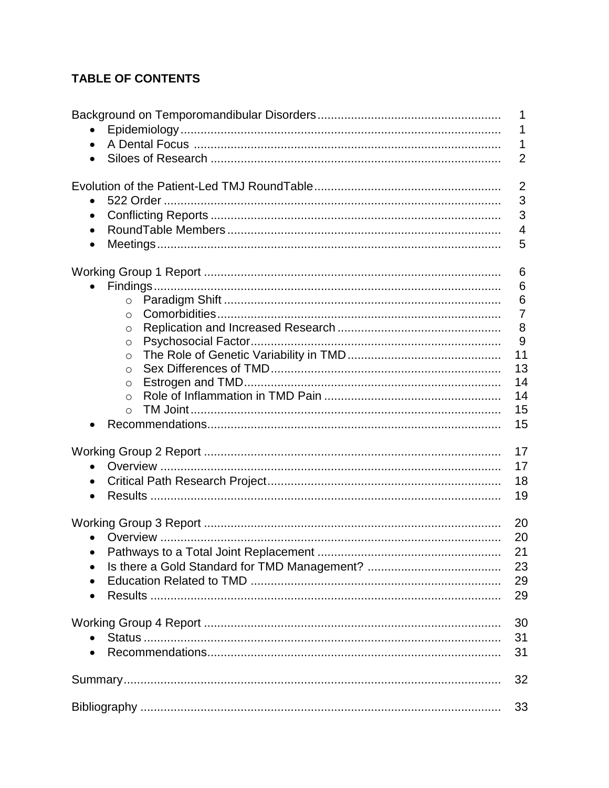## **TABLE OF CONTENTS**

|            | 1               |
|------------|-----------------|
|            | 1               |
|            | 1               |
|            | $\overline{2}$  |
|            |                 |
|            | $\overline{2}$  |
|            | 3               |
| $\bullet$  | 3               |
| $\bullet$  | $\overline{4}$  |
| $\bullet$  | 5               |
|            |                 |
|            | 6               |
|            | 6               |
| $\circ$    | $6\phantom{1}6$ |
| $\circ$    | $\overline{7}$  |
| $\circ$    | 8               |
| $\circ$    | 9               |
| $\circ$    | 11              |
| $\bigcirc$ | 13              |
| $\circ$    | 14              |
| $\Omega$   | 14              |
| $\Omega$   | 15              |
|            | 15              |
|            |                 |
|            | 17              |
| $\bullet$  | 17              |
|            | 18              |
| $\bullet$  | 19              |
|            |                 |
|            | 20              |
|            | 20              |
|            | 21              |
|            | 23              |
|            |                 |
|            | 29              |
|            | 29              |
|            | 30              |
|            | 31              |
|            |                 |
|            | 31              |
|            | 32              |
|            | 33              |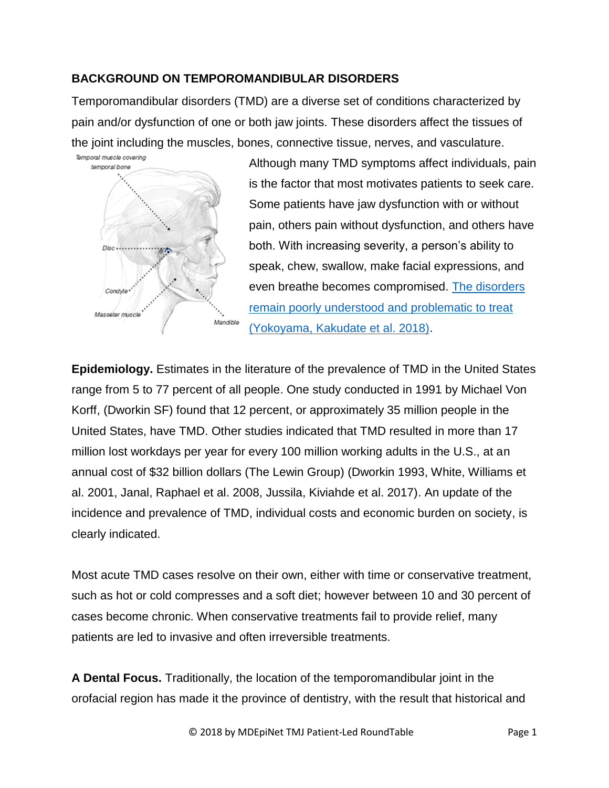## **BACKGROUND ON TEMPOROMANDIBULAR DISORDERS**

Temporomandibular disorders (TMD) are a diverse set of conditions characterized by pain and/or dysfunction of one or both jaw joints. These disorders affect the tissues of the joint including the muscles, bones, connective tissue, nerves, and vasculature.



Although many TMD symptoms affect individuals, pain is the factor that most motivates patients to seek care. Some patients have jaw dysfunction with or without pain, others pain without dysfunction, and others have both. With increasing severity, a person's ability to speak, chew, swallow, make facial expressions, and even breathe becomes compromised. The disorders [remain poorly understood and problematic to treat](https://pdfs.journals.lww.com/md-journal/2018/01050/Dentist_s_distress_in_the_management_of_chronic.32.pdf?token=method|ExpireAbsolute;source|Journals;ttl|1532118509831;payload|mY8D3u1TCCsNvP5E421JYK6N6XICDamxByyYpaNzk7FKjTaa1Yz22MivkHZqjGP4kdS2v0J76WGAnHACH69s21Csk0OpQi3YbjEMdSoz2UhVybFqQxA7lKwSUlA502zQZr96TQRwhVlocEp/sJ586aVbcBFlltKNKo+tbuMfL73hiPqJliudqs17cHeLcLbV/CqjlP3IO0jGHlHQtJWcICDdAyGJMnpi6RlbEJaRheGeh5z5uvqz3FLHgPKVXJzddFRrD2hcIwdDP9eSnSkfs4IoHsCRIEfUbZo73vOvOQo=;hash|EGiVlF2Hl6An2RyVORY8yg==) (Yokoyama, Kakudate et al. 2018).

**Epidemiology.** Estimates in the literature of the prevalence of TMD in the United States range from 5 to 77 percent of all people. One study conducted in 1991 by Michael Von Korff, (Dworkin SF) found that 12 percent, or approximately 35 million people in the United States, have TMD. Other studies indicated that TMD resulted in more than 17 million lost workdays per year for every 100 million working adults in the U.S., at an annual cost of \$32 billion dollars (The Lewin Group) (Dworkin 1993, White, Williams et al. 2001, Janal, Raphael et al. 2008, Jussila, Kiviahde et al. 2017). An update of the incidence and prevalence of TMD, individual costs and economic burden on society, is clearly indicated.

Most acute TMD cases resolve on their own, either with time or conservative treatment, such as hot or cold compresses and a soft diet; however between 10 and 30 percent of cases become chronic. When conservative treatments fail to provide relief, many patients are led to invasive and often irreversible treatments.

**A Dental Focus.** Traditionally, the location of the temporomandibular joint in the orofacial region has made it the province of dentistry, with the result that historical and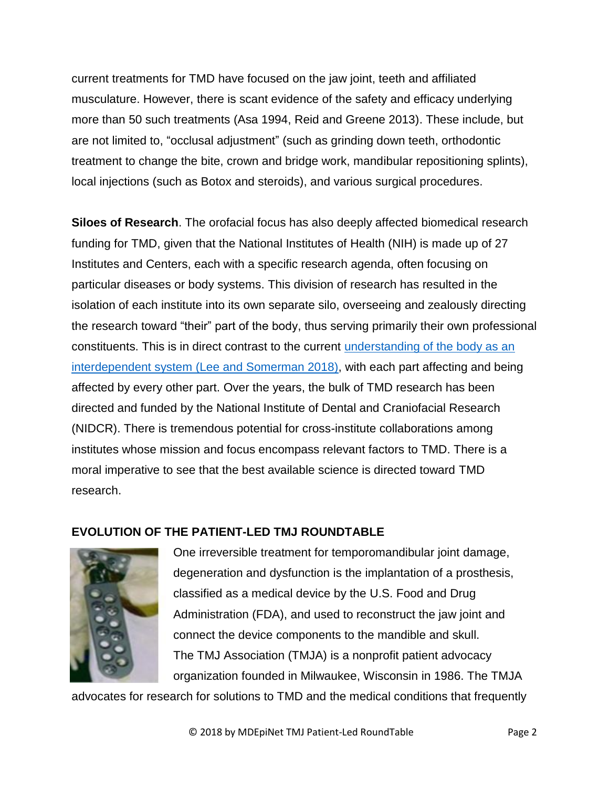current treatments for TMD have focused on the jaw joint, teeth and affiliated musculature. However, there is scant evidence of the safety and efficacy underlying more than 50 such treatments (Asa 1994, Reid and Greene 2013). These include, but are not limited to, "occlusal adjustment" (such as grinding down teeth, orthodontic treatment to change the bite, crown and bridge work, mandibular repositioning splints), local injections (such as Botox and steroids), and various surgical procedures.

**Siloes of Research**. The orofacial focus has also deeply affected biomedical research funding for TMD, given that the National Institutes of Health (NIH) is made up of 27 Institutes and Centers, each with a specific research agenda, often focusing on particular diseases or body systems. This division of research has resulted in the isolation of each institute into its own separate silo, overseeing and zealously directing the research toward "their" part of the body, thus serving primarily their own professional constituents. This is in direct contrast to the current [understanding of the body as an](https://jamanetwork.com/journals/jama/article-abstract/2680858)  [interdependent system](https://jamanetwork.com/journals/jama/article-abstract/2680858) (Lee and Somerman 2018), with each part affecting and being affected by every other part. Over the years, the bulk of TMD research has been directed and funded by the National Institute of Dental and Craniofacial Research (NIDCR). There is tremendous potential for cross-institute collaborations among institutes whose mission and focus encompass relevant factors to TMD. There is a moral imperative to see that the best available science is directed toward TMD research.

## **EVOLUTION OF THE PATIENT-LED TMJ ROUNDTABLE**



One irreversible treatment for temporomandibular joint damage, degeneration and dysfunction is the implantation of a prosthesis, classified as a medical device by the U.S. Food and Drug Administration (FDA), and used to reconstruct the jaw joint and connect the device components to the mandible and skull. The TMJ Association (TMJA) is a nonprofit patient advocacy organization founded in Milwaukee, Wisconsin in 1986. The TMJA

advocates for research for solutions to TMD and the medical conditions that frequently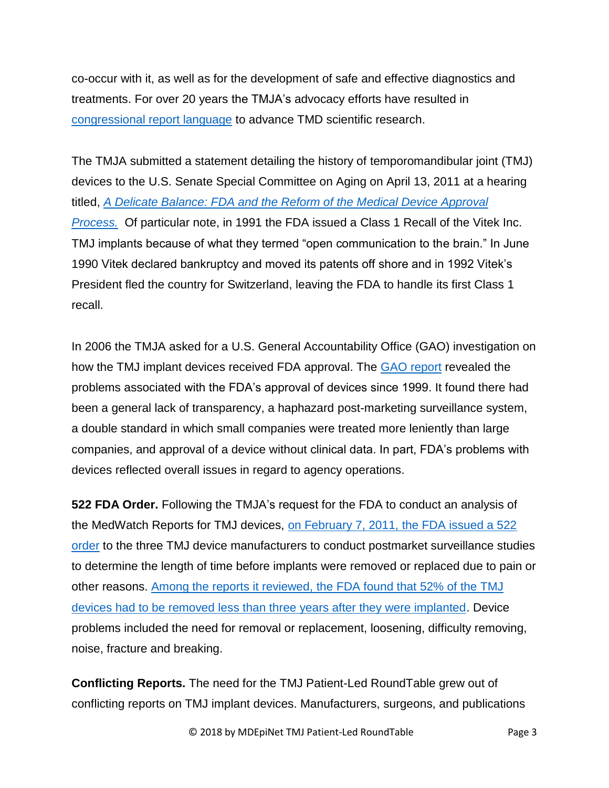co-occur with it, as well as for the development of safe and effective diagnostics and treatments. For over 20 years the TMJA's advocacy efforts have resulted in [congressional report language](http://www.tmj.org/Page/46/28) to advance TMD scientific research.

The TMJA submitted a statement detailing the history of temporomandibular joint (TMJ) devices to the U.S. Senate Special Committee on Aging on April 13, 2011 at a hearing titled, *[A Delicate Balance: FDA and the Reform of the Medical Device Approval](http://tmj.org/common/file?id=111)  [Process.](http://tmj.org/common/file?id=111)* Of particular note, in 1991 the FDA issued a Class 1 Recall of the Vitek Inc. TMJ implants because of what they termed "open communication to the brain." In June 1990 Vitek declared bankruptcy and moved its patents off shore and in 1992 Vitek's President fled the country for Switzerland, leaving the FDA to handle its first Class 1 recall.

In 2006 the TMJA asked for a U.S. General Accountability Office (GAO) investigation on how the TMJ implant devices received FDA approval. The [GAO report](https://www.gao.gov/products/GAO-07-996) revealed the problems associated with the FDA's approval of devices since 1999. It found there had been a general lack of transparency, a haphazard post-marketing surveillance system, a double standard in which small companies were treated more leniently than large companies, and approval of a device without clinical data. In part, FDA's problems with devices reflected overall issues in regard to agency operations.

**522 FDA Order.** Following the TMJA's request for the FDA to conduct an analysis of the MedWatch Reports for TMJ devices, [on February 7, 2011, the FDA issued](https://wayback.archive-it.org/7993/20170114063520/http:/www.fda.gov/NewsEvents/Newsroom/PressAnnouncements/ucm242421.htm) a 522 [order](https://wayback.archive-it.org/7993/20170114063520/http:/www.fda.gov/NewsEvents/Newsroom/PressAnnouncements/ucm242421.htm) to the three TMJ device manufacturers to conduct postmarket surveillance studies to determine the length of time before implants were removed or replaced due to pain or other reasons. [Among the reports it reviewed,](http://archive.jsonline.com/features/health/115498459.html) the FDA found that 52% of the TMJ [devices had to be removed less than three years after they were implanted.](http://archive.jsonline.com/features/health/115498459.html) Device problems included the need for removal or replacement, loosening, difficulty removing, noise, fracture and breaking.

**Conflicting Reports.** The need for the TMJ Patient-Led RoundTable grew out of conflicting reports on TMJ implant devices. Manufacturers, surgeons, and publications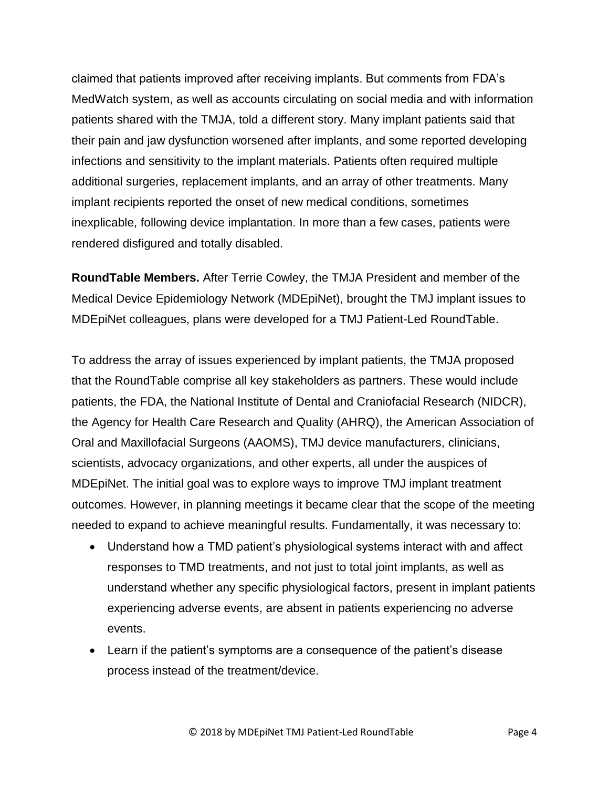claimed that patients improved after receiving implants. But comments from FDA's MedWatch system, as well as accounts circulating on social media and with information patients shared with the TMJA, told a different story. Many implant patients said that their pain and jaw dysfunction worsened after implants, and some reported developing infections and sensitivity to the implant materials. Patients often required multiple additional surgeries, replacement implants, and an array of other treatments. Many implant recipients reported the onset of new medical conditions, sometimes inexplicable, following device implantation. In more than a few cases, patients were rendered disfigured and totally disabled.

**RoundTable Members.** After Terrie Cowley, the TMJA President and member of the Medical Device Epidemiology Network (MDEpiNet), brought the TMJ implant issues to MDEpiNet colleagues, plans were developed for a TMJ Patient-Led RoundTable.

To address the array of issues experienced by implant patients, the TMJA proposed that the RoundTable comprise all key stakeholders as partners. These would include patients, the FDA, the National Institute of Dental and Craniofacial Research (NIDCR), the Agency for Health Care Research and Quality (AHRQ), the American Association of Oral and Maxillofacial Surgeons (AAOMS), TMJ device manufacturers, clinicians, scientists, advocacy organizations, and other experts, all under the auspices of MDEpiNet. The initial goal was to explore ways to improve TMJ implant treatment outcomes. However, in planning meetings it became clear that the scope of the meeting needed to expand to achieve meaningful results. Fundamentally, it was necessary to:

- Understand how a TMD patient's physiological systems interact with and affect responses to TMD treatments, and not just to total joint implants, as well as understand whether any specific physiological factors, present in implant patients experiencing adverse events, are absent in patients experiencing no adverse events.
- Learn if the patient's symptoms are a consequence of the patient's disease process instead of the treatment/device.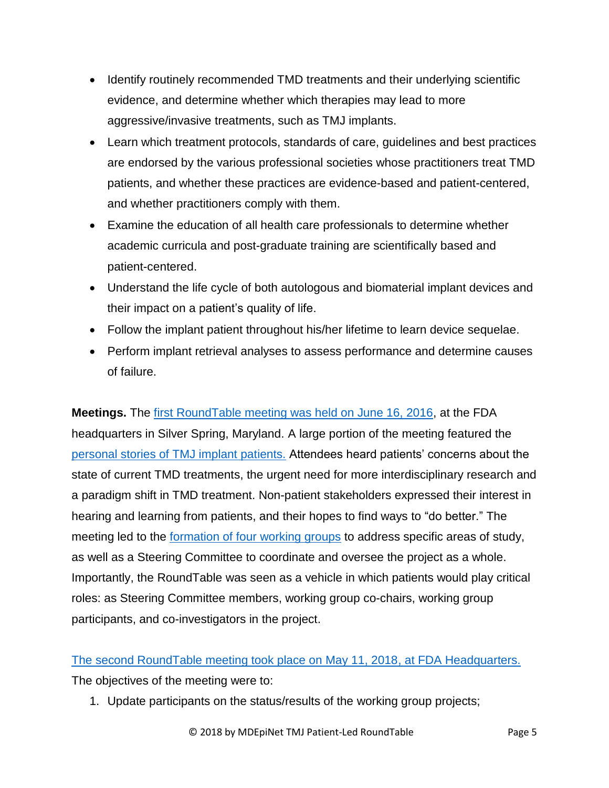- Identify routinely recommended TMD treatments and their underlying scientific evidence, and determine whether which therapies may lead to more aggressive/invasive treatments, such as TMJ implants.
- Learn which treatment protocols, standards of care, guidelines and best practices are endorsed by the various professional societies whose practitioners treat TMD patients, and whether these practices are evidence-based and patient-centered, and whether practitioners comply with them.
- Examine the education of all health care professionals to determine whether academic curricula and post-graduate training are scientifically based and patient-centered.
- Understand the life cycle of both autologous and biomaterial implant devices and their impact on a patient's quality of life.
- Follow the implant patient throughout his/her lifetime to learn device sequelae.
- Perform implant retrieval analyses to assess performance and determine causes of failure.

**Meetings.** The [first RoundTable meeting was held on June 16, 2016,](http://www.tmj.org/site/page?pageId=376) at the FDA headquarters in Silver Spring, Maryland. A large portion of the meeting featured the [personal stories of TMJ implant patients.](http://www.tmj.org/common/file?id=286) Attendees heard patients' concerns about the state of current TMD treatments, the urgent need for more interdisciplinary research and a paradigm shift in TMD treatment. Non-patient stakeholders expressed their interest in hearing and learning from patients, and their hopes to find ways to "do better." The meeting led to the [formation of four working groups](http://r20.rs6.net/tn.jsp?f=001JmMgu_GL9vsvu1YTwPe69gLdnD68XtYrgLX0si1-mzxcAiY8SnoeWhBOIhbERBizko0HhjS8k1lUS3gAIcK-CBjqJxVwmF_If09zzr4tdtCKhLIoVPn3nt0fMZPh6C51Y5iBblsejaaabZ473AoihabyPTkiaC5NRpzdr6cuJJg2D_qVfQ5uigFUgnQypnsyfRSiHMbuMA8otsducedcZVBVL52T4w69seNY66lRWoKd4ofCOq9dFkWlHqIluOWueNhPykQ9NO7gUm0i05aPuKFQ6IC3grJ14SSUUqZOdwl8VYUN9diuOXKIBcS9YtZ3sE9q1kw1yvrvMjF1sSLKL-RoLhQm-c6nFQqZeroF1GycFu3Xl4r3iVW1tUcF898P&c=8WeedX4gDRK-0YW62Nqt_RgArfNowFS55UYEmF86YJ9h26Wo9IB9vg==&ch=YUkTBtuQiLWWa7MzCy4Sc7W5MWSrxn5A5-5aqD3e9Ujz3_j-NDlm4A==) to address specific areas of study, as well as a Steering Committee to coordinate and oversee the project as a whole. Importantly, the RoundTable was seen as a vehicle in which patients would play critical roles: as Steering Committee members, working group co-chairs, working group participants, and co-investigators in the project.

## [The second RoundTable meeting took place on May 11, 2018,](http://mdepinet.org/wp-content/uploads/2018-TMJ-Patient-Led-Meeting-Agenda-4.24.185-1.pdf) at FDA Headquarters.

The objectives of the meeting were to:

1. Update participants on the status/results of the working group projects;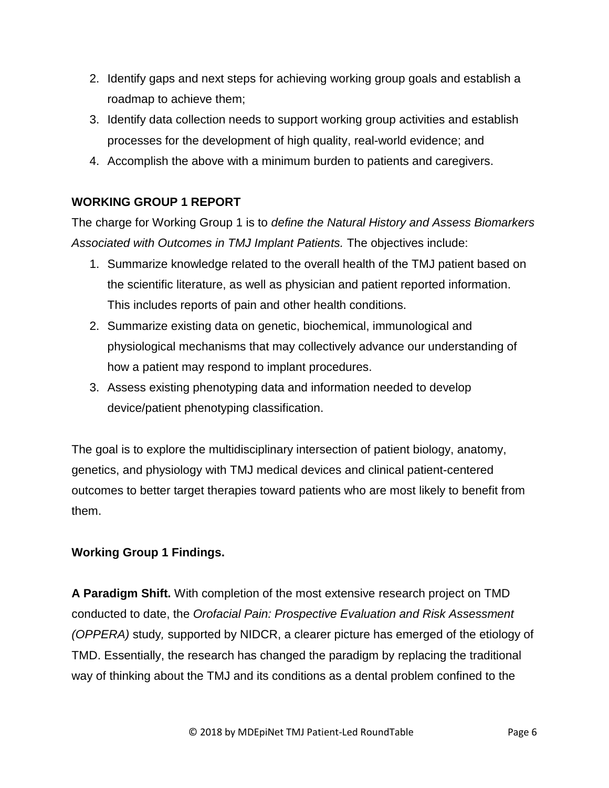- 2. Identify gaps and next steps for achieving working group goals and establish a roadmap to achieve them;
- 3. Identify data collection needs to support working group activities and establish processes for the development of high quality, real-world evidence; and
- 4. Accomplish the above with a minimum burden to patients and caregivers.

## **WORKING GROUP 1 REPORT**

The charge for Working Group 1 is to *define the Natural History and Assess Biomarkers Associated with Outcomes in TMJ Implant Patients.* The objectives include:

- 1. Summarize knowledge related to the overall health of the TMJ patient based on the scientific literature, as well as physician and patient reported information. This includes reports of pain and other health conditions.
- 2. Summarize existing data on genetic, biochemical, immunological and physiological mechanisms that may collectively advance our understanding of how a patient may respond to implant procedures.
- 3. Assess existing phenotyping data and information needed to develop device/patient phenotyping classification.

The goal is to explore the multidisciplinary intersection of patient biology, anatomy, genetics, and physiology with TMJ medical devices and clinical patient-centered outcomes to better target therapies toward patients who are most likely to benefit from them.

## **Working Group 1 Findings.**

**A Paradigm Shift.** With completion of the most extensive research project on TMD conducted to date, the *Orofacial Pain: Prospective Evaluation and Risk Assessment (OPPERA)* study*,* supported by NIDCR, a clearer picture has emerged of the etiology of TMD. Essentially, the research has changed the paradigm by replacing the traditional way of thinking about the TMJ and its conditions as a dental problem confined to the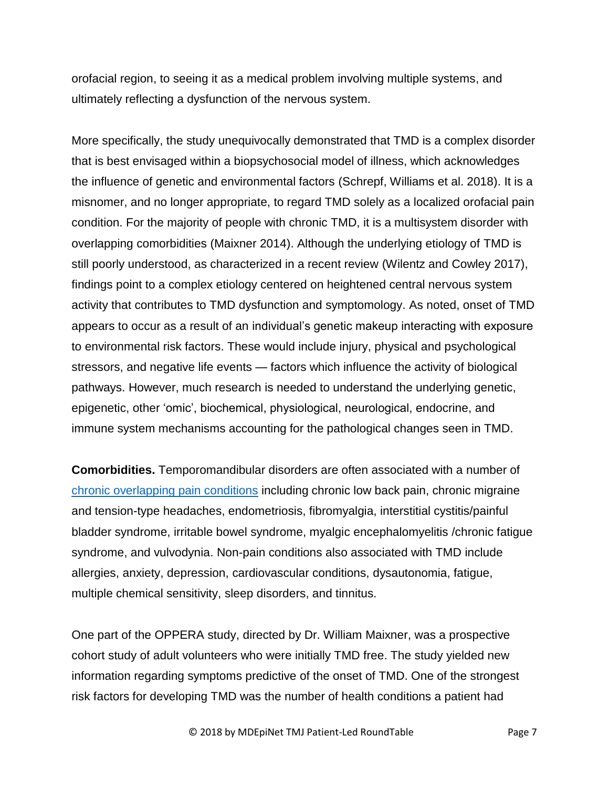orofacial region, to seeing it as a medical problem involving multiple systems, and ultimately reflecting a dysfunction of the nervous system.

More specifically, the study unequivocally demonstrated that TMD is a complex disorder that is best envisaged within a biopsychosocial model of illness, which acknowledges the influence of genetic and environmental factors (Schrepf, Williams et al. 2018). It is a misnomer, and no longer appropriate, to regard TMD solely as a localized orofacial pain condition. For the majority of people with chronic TMD, it is a multisystem disorder with overlapping comorbidities (Maixner 2014). Although the underlying etiology of TMD is still poorly understood, as characterized in a recent review (Wilentz and Cowley 2017), findings point to a complex etiology centered on heightened central nervous system activity that contributes to TMD dysfunction and symptomology. As noted, onset of TMD appears to occur as a result of an individual's genetic makeup interacting with exposure to environmental risk factors. These would include injury, physical and psychological stressors, and negative life events — factors which influence the activity of biological pathways. However, much research is needed to understand the underlying genetic, epigenetic, other 'omic', biochemical, physiological, neurological, endocrine, and immune system mechanisms accounting for the pathological changes seen in TMD.

**Comorbidities.** Temporomandibular disorders are often associated with a number of [chronic overlapping pain conditions](http://www.tmj.org/common/file?id=290) including chronic low back pain, chronic migraine and tension-type headaches, endometriosis, fibromyalgia, interstitial cystitis/painful bladder syndrome, irritable bowel syndrome, myalgic encephalomyelitis /chronic fatigue syndrome, and vulvodynia. Non-pain conditions also associated with TMD include allergies, anxiety, depression, cardiovascular conditions, dysautonomia, fatigue, multiple chemical sensitivity, sleep disorders, and tinnitus.

One part of the OPPERA study, directed by Dr. William Maixner, was a prospective cohort study of adult volunteers who were initially TMD free. The study yielded new information regarding symptoms predictive of the onset of TMD. One of the strongest risk factors for developing TMD was the number of health conditions a patient had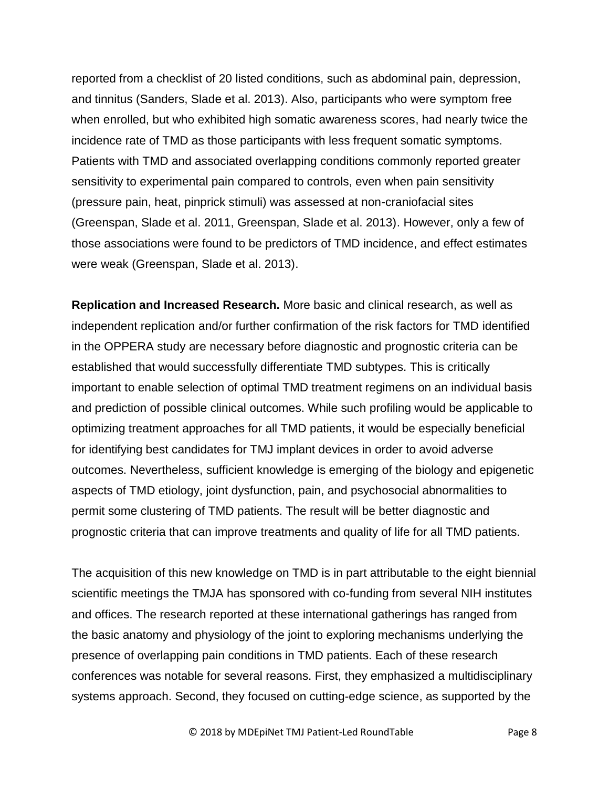reported from a checklist of 20 listed conditions, such as abdominal pain, depression, and tinnitus (Sanders, Slade et al. 2013). Also, participants who were symptom free when enrolled, but who exhibited high somatic awareness scores, had nearly twice the incidence rate of TMD as those participants with less frequent somatic symptoms. Patients with TMD and associated overlapping conditions commonly reported greater sensitivity to experimental pain compared to controls, even when pain sensitivity (pressure pain, heat, pinprick stimuli) was assessed at non-craniofacial sites (Greenspan, Slade et al. 2011, Greenspan, Slade et al. 2013). However, only a few of those associations were found to be predictors of TMD incidence, and effect estimates were weak (Greenspan, Slade et al. 2013).

**Replication and Increased Research.** More basic and clinical research, as well as independent replication and/or further confirmation of the risk factors for TMD identified in the OPPERA study are necessary before diagnostic and prognostic criteria can be established that would successfully differentiate TMD subtypes. This is critically important to enable selection of optimal TMD treatment regimens on an individual basis and prediction of possible clinical outcomes. While such profiling would be applicable to optimizing treatment approaches for all TMD patients, it would be especially beneficial for identifying best candidates for TMJ implant devices in order to avoid adverse outcomes. Nevertheless, sufficient knowledge is emerging of the biology and epigenetic aspects of TMD etiology, joint dysfunction, pain, and psychosocial abnormalities to permit some clustering of TMD patients. The result will be better diagnostic and prognostic criteria that can improve treatments and quality of life for all TMD patients.

The acquisition of this new knowledge on TMD is in part attributable to the eight biennial scientific meetings the TMJA has sponsored with co-funding from several NIH institutes and offices. The research reported at these international gatherings has ranged from the basic anatomy and physiology of the joint to exploring mechanisms underlying the presence of overlapping pain conditions in TMD patients. Each of these research conferences was notable for several reasons. First, they emphasized a multidisciplinary systems approach. Second, they focused on cutting-edge science, as supported by the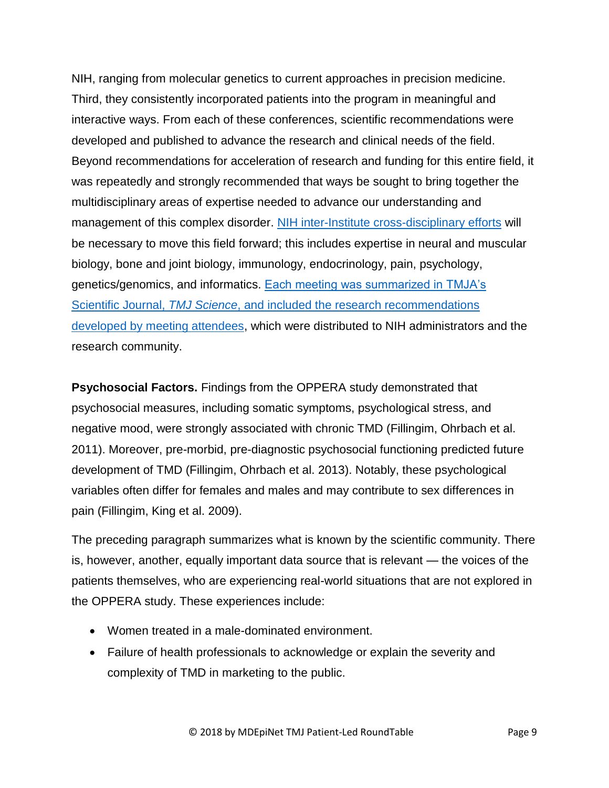NIH, ranging from molecular genetics to current approaches in precision medicine. Third, they consistently incorporated patients into the program in meaningful and interactive ways. From each of these conferences, scientific recommendations were developed and published to advance the research and clinical needs of the field. Beyond recommendations for acceleration of research and funding for this entire field, it was repeatedly and strongly recommended that ways be sought to bring together the multidisciplinary areas of expertise needed to advance our understanding and management of this complex disorder. [NIH inter-Institute cross-disciplinary efforts](http://www.tmj.org/common/file?id=288) will be necessary to move this field forward; this includes expertise in neural and muscular biology, bone and joint biology, immunology, endocrinology, pain, psychology, genetics/genomics, and informatics. [Each meeting was summarized in TMJA's](http://www.tmj.org/common/file?id=287)  Scientific Journal, *TMJ Science*[, and included the research recommendations](http://www.tmj.org/common/file?id=287)  [developed by meeting attendees,](http://www.tmj.org/common/file?id=287) which were distributed to NIH administrators and the research community.

**Psychosocial Factors.** Findings from the OPPERA study demonstrated that psychosocial measures, including somatic symptoms, psychological stress, and negative mood, were strongly associated with chronic TMD (Fillingim, Ohrbach et al. 2011). Moreover, pre-morbid, pre-diagnostic psychosocial functioning predicted future development of TMD (Fillingim, Ohrbach et al. 2013). Notably, these psychological variables often differ for females and males and may contribute to sex differences in pain (Fillingim, King et al. 2009).

The preceding paragraph summarizes what is known by the scientific community. There is, however, another, equally important data source that is relevant — the voices of the patients themselves, who are experiencing real-world situations that are not explored in the OPPERA study. These experiences include:

- Women treated in a male-dominated environment.
- Failure of health professionals to acknowledge or explain the severity and complexity of TMD in marketing to the public.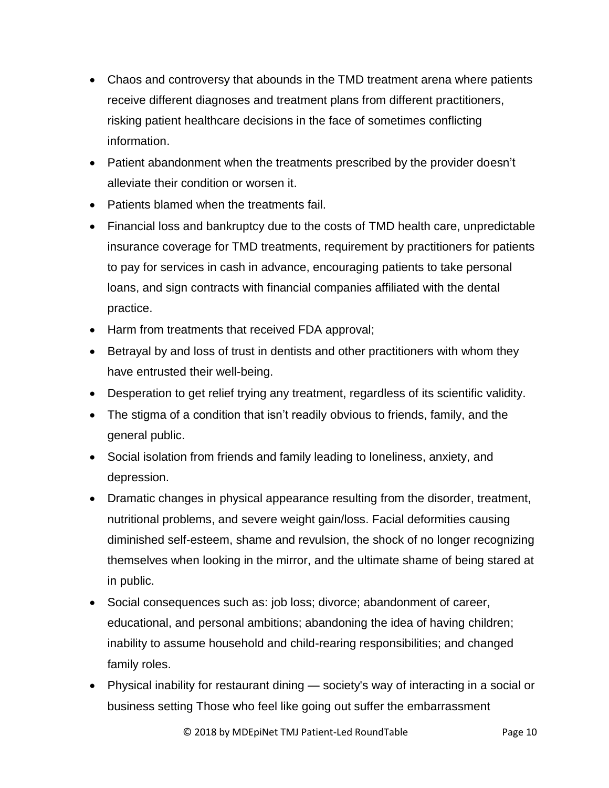- Chaos and controversy that abounds in the TMD treatment arena where patients receive different diagnoses and treatment plans from different practitioners, risking patient healthcare decisions in the face of sometimes conflicting information.
- Patient abandonment when the treatments prescribed by the provider doesn't alleviate their condition or worsen it.
- Patients blamed when the treatments fail.
- Financial loss and bankruptcy due to the costs of TMD health care, unpredictable insurance coverage for TMD treatments, requirement by practitioners for patients to pay for services in cash in advance, encouraging patients to take personal loans, and sign contracts with financial companies affiliated with the dental practice.
- Harm from treatments that received FDA approval;
- Betrayal by and loss of trust in dentists and other practitioners with whom they have entrusted their well-being.
- Desperation to get relief trying any treatment, regardless of its scientific validity.
- The stigma of a condition that isn't readily obvious to friends, family, and the general public.
- Social isolation from friends and family leading to loneliness, anxiety, and depression.
- Dramatic changes in physical appearance resulting from the disorder, treatment, nutritional problems, and severe weight gain/loss. Facial deformities causing diminished self-esteem, shame and revulsion, the shock of no longer recognizing themselves when looking in the mirror, and the ultimate shame of being stared at in public.
- Social consequences such as: job loss; divorce; abandonment of career, educational, and personal ambitions; abandoning the idea of having children; inability to assume household and child-rearing responsibilities; and changed family roles.
- Physical inability for restaurant dining society's way of interacting in a social or business setting Those who feel like going out suffer the embarrassment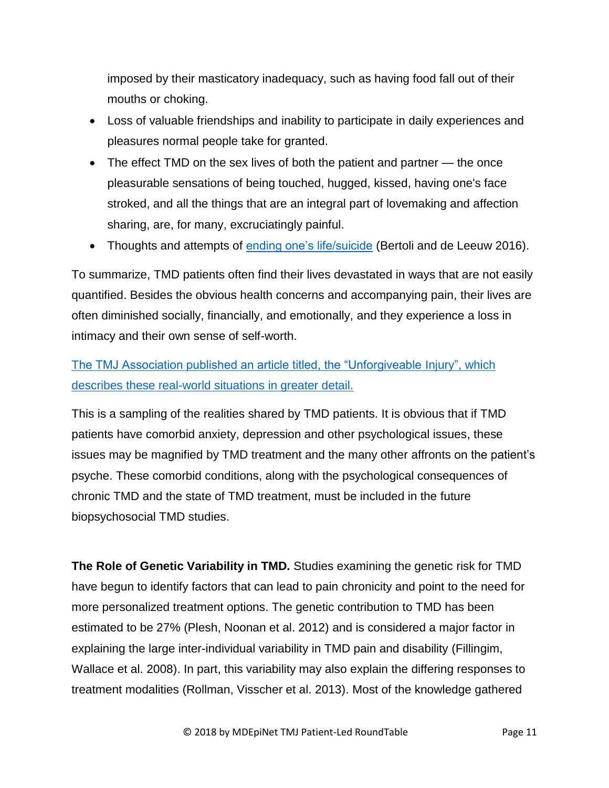imposed by their masticatory inadequacy, such as having food fall out of their mouths or choking.

- Loss of valuable friendships and inability to participate in daily experiences and pleasures normal people take for granted.
- The effect TMD on the sex lives of both the patient and partner the once pleasurable sensations of being touched, hugged, kissed, having one's face stroked, and all the things that are an integral part of lovemaking and affection sharing, are, for many, excruciatingly painful.
- Thoughts and attempts of [ending one's life/suicide](http://www.tmj.org/common/file?id=292) (Bertoli and de Leeuw 2016).

To summarize, TMD patients often find their lives devastated in ways that are not easily quantified. Besides the obvious health concerns and accompanying pain, their lives are often diminished socially, financially, and emotionally, and they experience a loss in intimacy and their own sense of self-worth.

[The TMJ Association published an article titled, the "Unforgiveable Injury", which](http://www.tmj.org/site/page?pageId=26) [describes these real-world situations in greater detail.](http://www.tmj.org/site/page?pageId=26) 

This is a sampling of the realities shared by TMD patients. It is obvious that if TMD patients have comorbid anxiety, depression and other psychological issues, these issues may be magnified by TMD treatment and the many other affronts on the patient's psyche. These comorbid conditions, along with the psychological consequences of chronic TMD and the state of TMD treatment, must be included in the future biopsychosocial TMD studies.

**The Role of Genetic Variability in TMD.** Studies examining the genetic risk for TMD have begun to identify factors that can lead to pain chronicity and point to the need for more personalized treatment options. The genetic contribution to TMD has been estimated to be 27% (Plesh, Noonan et al. 2012) and is considered a major factor in explaining the large inter-individual variability in TMD pain and disability (Fillingim, Wallace et al. 2008). In part, this variability may also explain the differing responses to treatment modalities (Rollman, Visscher et al. 2013). Most of the knowledge gathered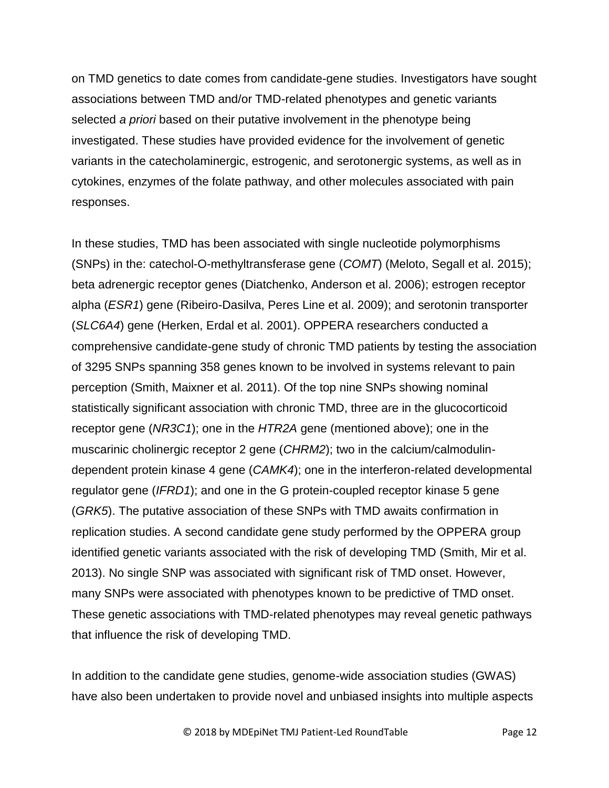on TMD genetics to date comes from candidate-gene studies. Investigators have sought associations between TMD and/or TMD-related phenotypes and genetic variants selected *a priori* based on their putative involvement in the phenotype being investigated. These studies have provided evidence for the involvement of genetic variants in the catecholaminergic, estrogenic, and serotonergic systems, as well as in cytokines, enzymes of the folate pathway, and other molecules associated with pain responses.

In these studies, TMD has been associated with single nucleotide polymorphisms (SNPs) in the: catechol-O-methyltransferase gene (*COMT*) (Meloto, Segall et al. 2015); beta adrenergic receptor genes (Diatchenko, Anderson et al. 2006); estrogen receptor alpha (*ESR1*) gene (Ribeiro-Dasilva, Peres Line et al. 2009); and serotonin transporter (*SLC6A4*) gene (Herken, Erdal et al. 2001). OPPERA researchers conducted a comprehensive candidate-gene study of chronic TMD patients by testing the association of 3295 SNPs spanning 358 genes known to be involved in systems relevant to pain perception (Smith, Maixner et al. 2011). Of the top nine SNPs showing nominal statistically significant association with chronic TMD, three are in the glucocorticoid receptor gene (*NR3C1*); one in the *HTR2A* gene (mentioned above); one in the muscarinic cholinergic receptor 2 gene (*CHRM2*); two in the calcium/calmodulindependent protein kinase 4 gene (*CAMK4*); one in the interferon-related developmental regulator gene (*IFRD1*); and one in the G protein-coupled receptor kinase 5 gene (*GRK5*). The putative association of these SNPs with TMD awaits confirmation in replication studies. A second candidate gene study performed by the OPPERA group identified genetic variants associated with the risk of developing TMD (Smith, Mir et al. 2013). No single SNP was associated with significant risk of TMD onset. However, many SNPs were associated with phenotypes known to be predictive of TMD onset. These genetic associations with TMD-related phenotypes may reveal genetic pathways that influence the risk of developing TMD.

In addition to the candidate gene studies, genome-wide association studies (GWAS) have also been undertaken to provide novel and unbiased insights into multiple aspects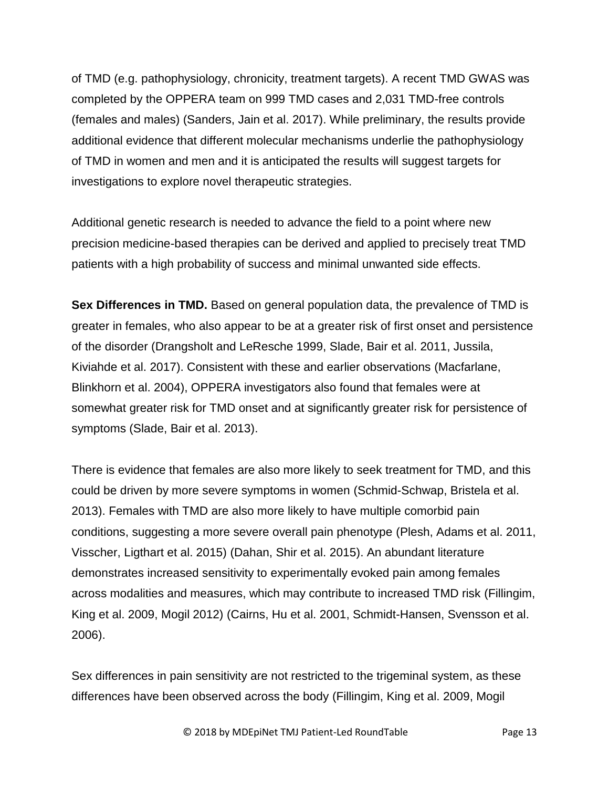of TMD (e.g. pathophysiology, chronicity, treatment targets). A recent TMD GWAS was completed by the OPPERA team on 999 TMD cases and 2,031 TMD-free controls (females and males) (Sanders, Jain et al. 2017). While preliminary, the results provide additional evidence that different molecular mechanisms underlie the pathophysiology of TMD in women and men and it is anticipated the results will suggest targets for investigations to explore novel therapeutic strategies.

Additional genetic research is needed to advance the field to a point where new precision medicine-based therapies can be derived and applied to precisely treat TMD patients with a high probability of success and minimal unwanted side effects.

**Sex Differences in TMD.** Based on general population data, the prevalence of TMD is greater in females, who also appear to be at a greater risk of first onset and persistence of the disorder (Drangsholt and LeResche 1999, Slade, Bair et al. 2011, Jussila, Kiviahde et al. 2017). Consistent with these and earlier observations (Macfarlane, Blinkhorn et al. 2004), OPPERA investigators also found that females were at somewhat greater risk for TMD onset and at significantly greater risk for persistence of symptoms (Slade, Bair et al. 2013).

There is evidence that females are also more likely to seek treatment for TMD, and this could be driven by more severe symptoms in women (Schmid-Schwap, Bristela et al. 2013). Females with TMD are also more likely to have multiple comorbid pain conditions, suggesting a more severe overall pain phenotype (Plesh, Adams et al. 2011, Visscher, Ligthart et al. 2015) (Dahan, Shir et al. 2015). An abundant literature demonstrates increased sensitivity to experimentally evoked pain among females across modalities and measures, which may contribute to increased TMD risk (Fillingim, King et al. 2009, Mogil 2012) (Cairns, Hu et al. 2001, Schmidt-Hansen, Svensson et al. 2006).

Sex differences in pain sensitivity are not restricted to the trigeminal system, as these differences have been observed across the body (Fillingim, King et al. 2009, Mogil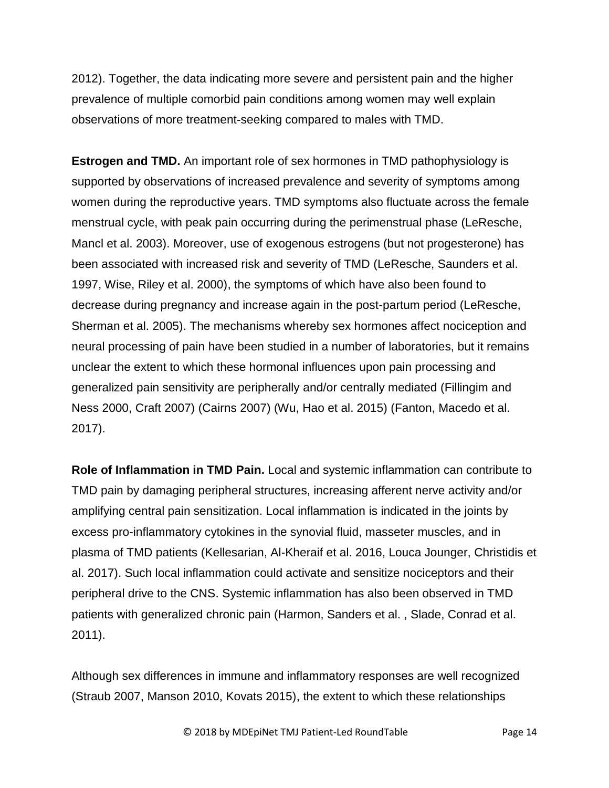2012). Together, the data indicating more severe and persistent pain and the higher prevalence of multiple comorbid pain conditions among women may well explain observations of more treatment-seeking compared to males with TMD.

**Estrogen and TMD.** An important role of sex hormones in TMD pathophysiology is supported by observations of increased prevalence and severity of symptoms among women during the reproductive years. TMD symptoms also fluctuate across the female menstrual cycle, with peak pain occurring during the perimenstrual phase (LeResche, Mancl et al. 2003). Moreover, use of exogenous estrogens (but not progesterone) has been associated with increased risk and severity of TMD (LeResche, Saunders et al. 1997, Wise, Riley et al. 2000), the symptoms of which have also been found to decrease during pregnancy and increase again in the post-partum period (LeResche, Sherman et al. 2005). The mechanisms whereby sex hormones affect nociception and neural processing of pain have been studied in a number of laboratories, but it remains unclear the extent to which these hormonal influences upon pain processing and generalized pain sensitivity are peripherally and/or centrally mediated (Fillingim and Ness 2000, Craft 2007) (Cairns 2007) (Wu, Hao et al. 2015) (Fanton, Macedo et al. 2017).

**Role of Inflammation in TMD Pain.** Local and systemic inflammation can contribute to TMD pain by damaging peripheral structures, increasing afferent nerve activity and/or amplifying central pain sensitization. Local inflammation is indicated in the joints by excess pro-inflammatory cytokines in the synovial fluid, masseter muscles, and in plasma of TMD patients (Kellesarian, Al-Kheraif et al. 2016, Louca Jounger, Christidis et al. 2017). Such local inflammation could activate and sensitize nociceptors and their peripheral drive to the CNS. Systemic inflammation has also been observed in TMD patients with generalized chronic pain (Harmon, Sanders et al. , Slade, Conrad et al. 2011).

Although sex differences in immune and inflammatory responses are well recognized (Straub 2007, Manson 2010, Kovats 2015), the extent to which these relationships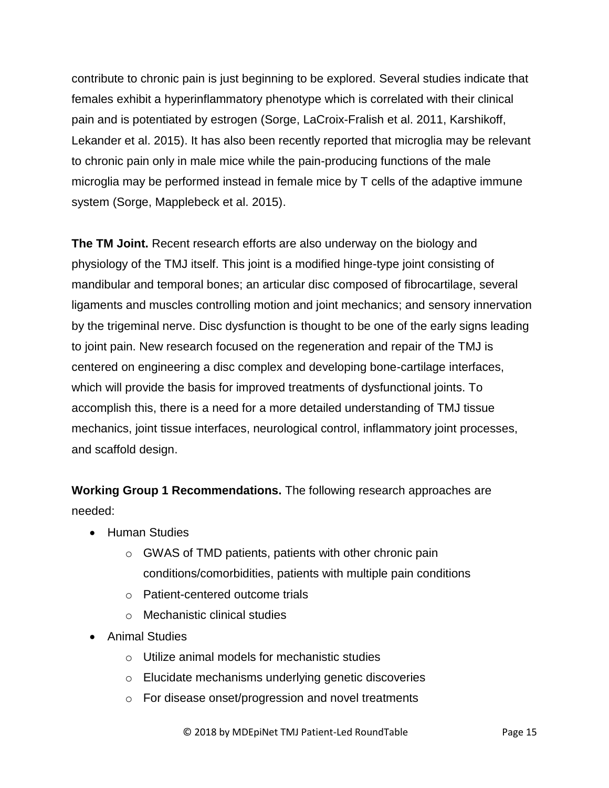contribute to chronic pain is just beginning to be explored. Several studies indicate that females exhibit a hyperinflammatory phenotype which is correlated with their clinical pain and is potentiated by estrogen (Sorge, LaCroix-Fralish et al. 2011, Karshikoff, Lekander et al. 2015). It has also been recently reported that microglia may be relevant to chronic pain only in male mice while the pain-producing functions of the male microglia may be performed instead in female mice by T cells of the adaptive immune system (Sorge, Mapplebeck et al. 2015).

**The TM Joint.** Recent research efforts are also underway on the biology and physiology of the TMJ itself. This joint is a modified hinge-type joint consisting of mandibular and temporal bones; an articular disc composed of fibrocartilage, several ligaments and muscles controlling motion and joint mechanics; and sensory innervation by the trigeminal nerve. Disc dysfunction is thought to be one of the early signs leading to joint pain. New research focused on the regeneration and repair of the TMJ is centered on engineering a disc complex and developing bone-cartilage interfaces, which will provide the basis for improved treatments of dysfunctional joints. To accomplish this, there is a need for a more detailed understanding of TMJ tissue mechanics, joint tissue interfaces, neurological control, inflammatory joint processes, and scaffold design.

**Working Group 1 Recommendations.** The following research approaches are needed:

- **•** Human Studies
	- o GWAS of TMD patients, patients with other chronic pain conditions/comorbidities, patients with multiple pain conditions
	- o Patient-centered outcome trials
	- o Mechanistic clinical studies
- Animal Studies
	- o Utilize animal models for mechanistic studies
	- o Elucidate mechanisms underlying genetic discoveries
	- o For disease onset/progression and novel treatments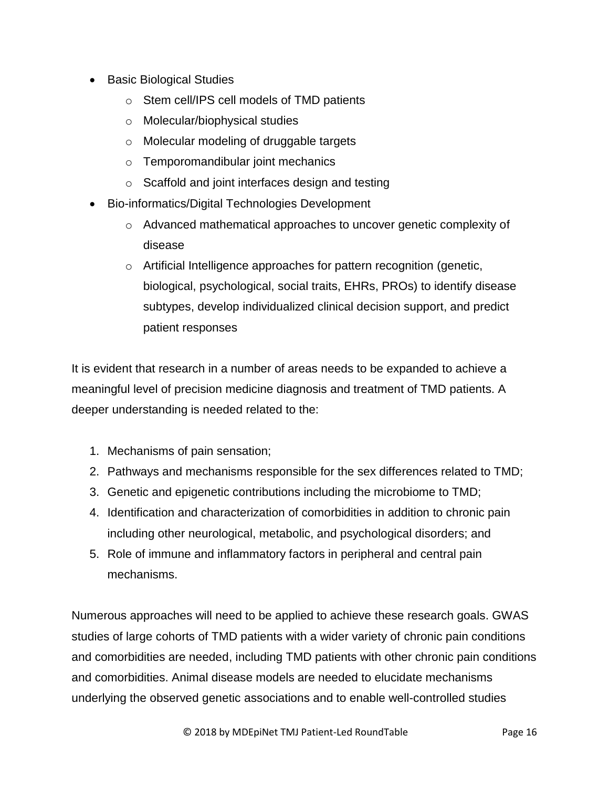- Basic Biological Studies
	- o Stem cell/IPS cell models of TMD patients
	- o Molecular/biophysical studies
	- o Molecular modeling of druggable targets
	- o Temporomandibular joint mechanics
	- o Scaffold and joint interfaces design and testing
- Bio-informatics/Digital Technologies Development
	- o Advanced mathematical approaches to uncover genetic complexity of disease
	- o Artificial Intelligence approaches for pattern recognition (genetic, biological, psychological, social traits, EHRs, PROs) to identify disease subtypes, develop individualized clinical decision support, and predict patient responses

It is evident that research in a number of areas needs to be expanded to achieve a meaningful level of precision medicine diagnosis and treatment of TMD patients. A deeper understanding is needed related to the:

- 1. Mechanisms of pain sensation;
- 2. Pathways and mechanisms responsible for the sex differences related to TMD;
- 3. Genetic and epigenetic contributions including the microbiome to TMD;
- 4. Identification and characterization of comorbidities in addition to chronic pain including other neurological, metabolic, and psychological disorders; and
- 5. Role of immune and inflammatory factors in peripheral and central pain mechanisms.

Numerous approaches will need to be applied to achieve these research goals. GWAS studies of large cohorts of TMD patients with a wider variety of chronic pain conditions and comorbidities are needed, including TMD patients with other chronic pain conditions and comorbidities. Animal disease models are needed to elucidate mechanisms underlying the observed genetic associations and to enable well-controlled studies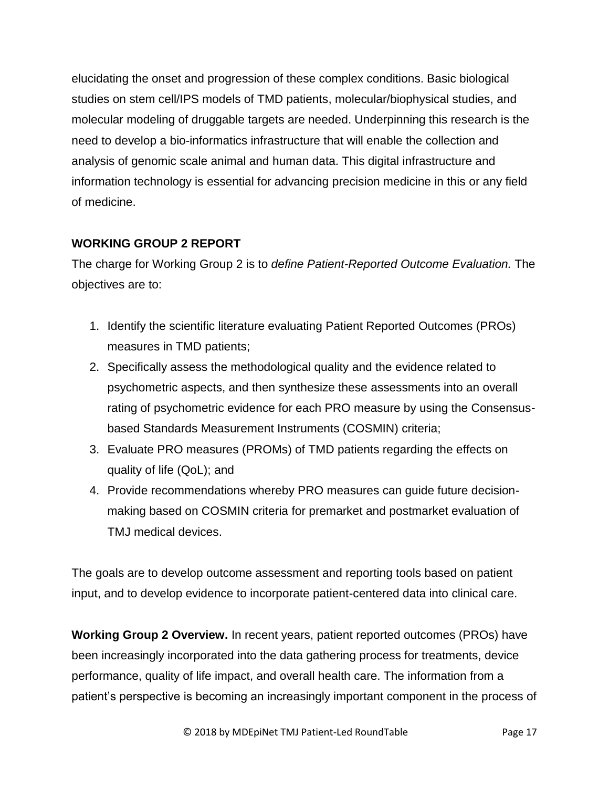elucidating the onset and progression of these complex conditions. Basic biological studies on stem cell/IPS models of TMD patients, molecular/biophysical studies, and molecular modeling of druggable targets are needed. Underpinning this research is the need to develop a bio-informatics infrastructure that will enable the collection and analysis of genomic scale animal and human data. This digital infrastructure and information technology is essential for advancing precision medicine in this or any field of medicine.

## **WORKING GROUP 2 REPORT**

The charge for Working Group 2 is to *define Patient-Reported Outcome Evaluation.* The objectives are to:

- 1. Identify the scientific literature evaluating Patient Reported Outcomes (PROs) measures in TMD patients;
- 2. Specifically assess the methodological quality and the evidence related to psychometric aspects, and then synthesize these assessments into an overall rating of psychometric evidence for each PRO measure by using the Consensusbased Standards Measurement Instruments (COSMIN) criteria;
- 3. Evaluate PRO measures (PROMs) of TMD patients regarding the effects on quality of life (QoL); and
- 4. Provide recommendations whereby PRO measures can guide future decisionmaking based on COSMIN criteria for premarket and postmarket evaluation of TMJ medical devices.

The goals are to develop outcome assessment and reporting tools based on patient input, and to develop evidence to incorporate patient-centered data into clinical care.

**Working Group 2 Overview.** In recent years, patient reported outcomes (PROs) have been increasingly incorporated into the data gathering process for treatments, device performance, quality of life impact, and overall health care. The information from a patient's perspective is becoming an increasingly important component in the process of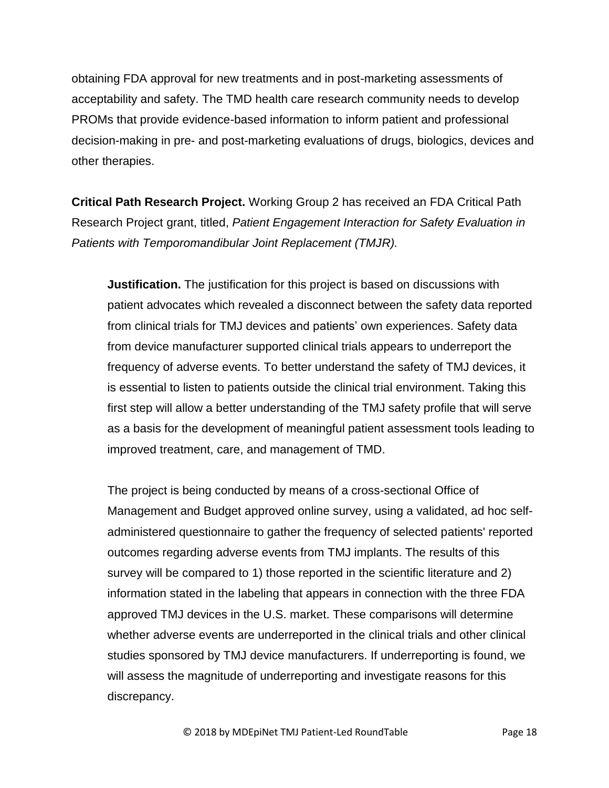obtaining FDA approval for new treatments and in post-marketing assessments of acceptability and safety. The TMD health care research community needs to develop PROMs that provide evidence-based information to inform patient and professional decision-making in pre- and post-marketing evaluations of drugs, biologics, devices and other therapies.

**Critical Path Research Project.** Working Group 2 has received an FDA Critical Path Research Project grant, titled, *Patient Engagement Interaction for Safety Evaluation in Patients with Temporomandibular Joint Replacement (TMJR).*

**Justification.** The justification for this project is based on discussions with patient advocates which revealed a disconnect between the safety data reported from clinical trials for TMJ devices and patients' own experiences. Safety data from device manufacturer supported clinical trials appears to underreport the frequency of adverse events. To better understand the safety of TMJ devices, it is essential to listen to patients outside the clinical trial environment. Taking this first step will allow a better understanding of the TMJ safety profile that will serve as a basis for the development of meaningful patient assessment tools leading to improved treatment, care, and management of TMD.

The project is being conducted by means of a cross-sectional Office of Management and Budget approved online survey, using a validated, ad hoc selfadministered questionnaire to gather the frequency of selected patients' reported outcomes regarding adverse events from TMJ implants. The results of this survey will be compared to 1) those reported in the scientific literature and 2) information stated in the labeling that appears in connection with the three FDA approved TMJ devices in the U.S. market. These comparisons will determine whether adverse events are underreported in the clinical trials and other clinical studies sponsored by TMJ device manufacturers. If underreporting is found, we will assess the magnitude of underreporting and investigate reasons for this discrepancy.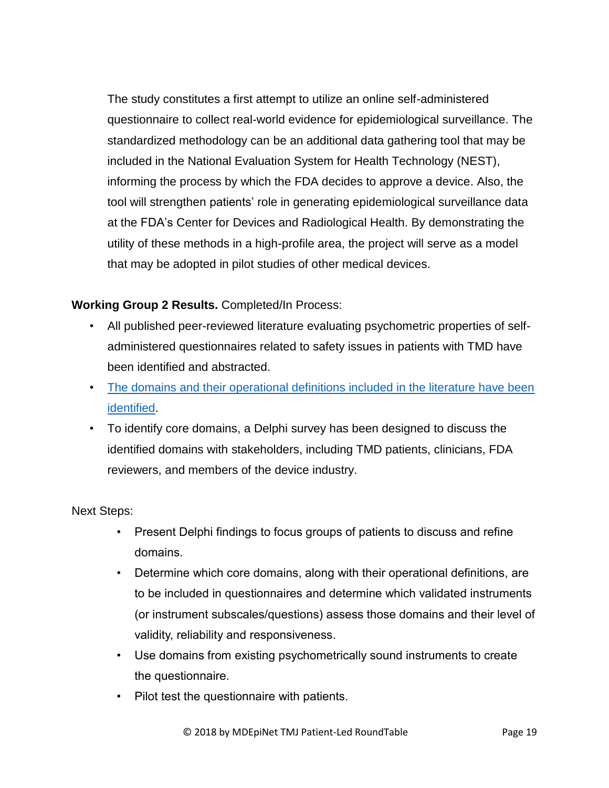The study constitutes a first attempt to utilize an online self-administered questionnaire to collect real-world evidence for epidemiological surveillance. The standardized methodology can be an additional data gathering tool that may be included in the National Evaluation System for Health Technology (NEST), informing the process by which the FDA decides to approve a device. Also, the tool will strengthen patients' role in generating epidemiological surveillance data at the FDA's Center for Devices and Radiological Health. By demonstrating the utility of these methods in a high-profile area, the project will serve as a model that may be adopted in pilot studies of other medical devices.

## **Working Group 2 Results.** Completed/In Process:

- All published peer-reviewed literature evaluating psychometric properties of selfadministered questionnaires related to safety issues in patients with TMD have been identified and abstracted.
- [The domains and their operational definitions included in the literature have been](http://www.tmj.org/common/file?id=289)  [identified.](http://www.tmj.org/common/file?id=289)
- To identify core domains, a Delphi survey has been designed to discuss the identified domains with stakeholders, including TMD patients, clinicians, FDA reviewers, and members of the device industry.

Next Steps:

- Present Delphi findings to focus groups of patients to discuss and refine domains.
- Determine which core domains, along with their operational definitions, are to be included in questionnaires and determine which validated instruments (or instrument subscales/questions) assess those domains and their level of validity, reliability and responsiveness.
- Use domains from existing psychometrically sound instruments to create the questionnaire.
- Pilot test the questionnaire with patients.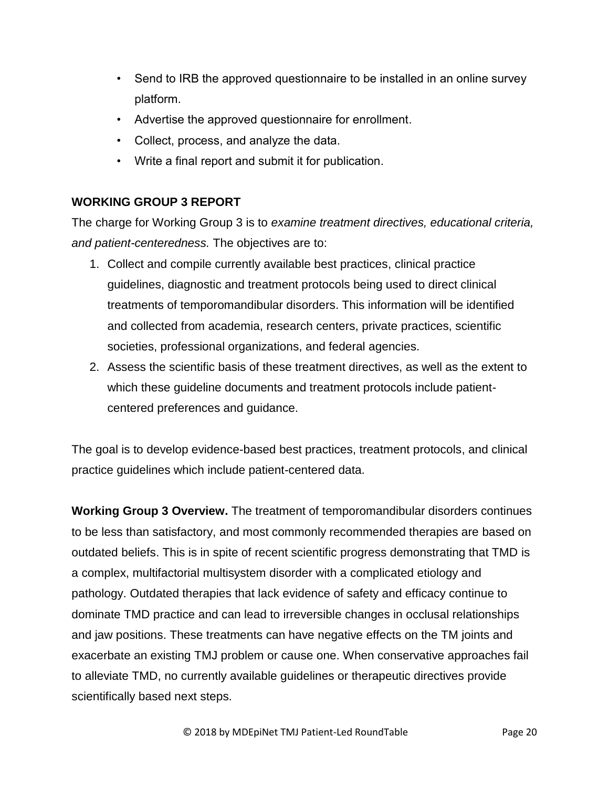- Send to IRB the approved questionnaire to be installed in an online survey platform.
- Advertise the approved questionnaire for enrollment.
- Collect, process, and analyze the data.
- Write a final report and submit it for publication.

## **WORKING GROUP 3 REPORT**

The charge for Working Group 3 is to *examine treatment directives, educational criteria, and patient-centeredness.* The objectives are to:

- 1. Collect and compile currently available best practices, clinical practice guidelines, diagnostic and treatment protocols being used to direct clinical treatments of temporomandibular disorders. This information will be identified and collected from academia, research centers, private practices, scientific societies, professional organizations, and federal agencies.
- 2. Assess the scientific basis of these treatment directives, as well as the extent to which these guideline documents and treatment protocols include patientcentered preferences and guidance.

The goal is to develop evidence-based best practices, treatment protocols, and clinical practice guidelines which include patient-centered data.

**Working Group 3 Overview.** The treatment of temporomandibular disorders continues to be less than satisfactory, and most commonly recommended therapies are based on outdated beliefs. This is in spite of recent scientific progress demonstrating that TMD is a complex, multifactorial multisystem disorder with a complicated etiology and pathology. Outdated therapies that lack evidence of safety and efficacy continue to dominate TMD practice and can lead to irreversible changes in occlusal relationships and jaw positions. These treatments can have negative effects on the TM joints and exacerbate an existing TMJ problem or cause one. When conservative approaches fail to alleviate TMD, no currently available guidelines or therapeutic directives provide scientifically based next steps.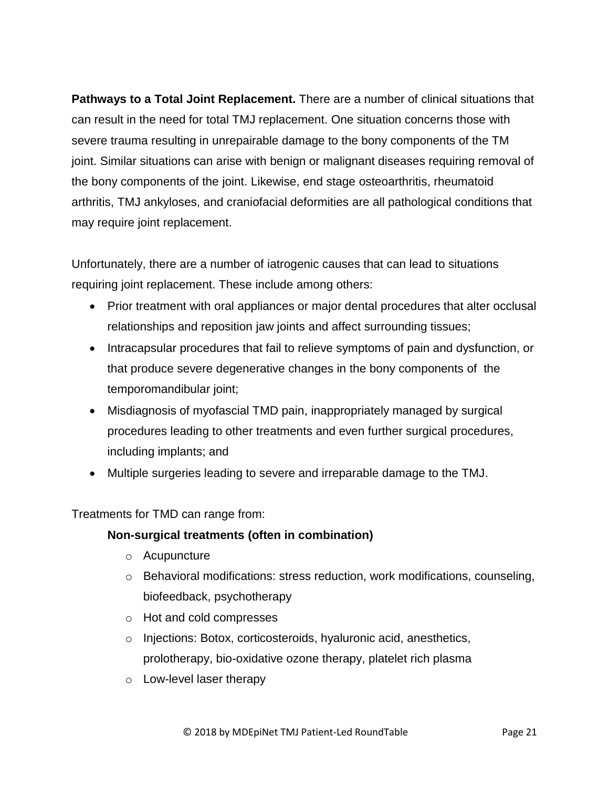**Pathways to a Total Joint Replacement.** There are a number of clinical situations that can result in the need for total TMJ replacement. One situation concerns those with severe trauma resulting in unrepairable damage to the bony components of the TM joint. Similar situations can arise with benign or malignant diseases requiring removal of the bony components of the joint. Likewise, end stage osteoarthritis, rheumatoid arthritis, TMJ ankyloses, and craniofacial deformities are all pathological conditions that may require joint replacement.

Unfortunately, there are a number of iatrogenic causes that can lead to situations requiring joint replacement. These include among others:

- Prior treatment with oral appliances or major dental procedures that alter occlusal relationships and reposition jaw joints and affect surrounding tissues;
- Intracapsular procedures that fail to relieve symptoms of pain and dysfunction, or that produce severe degenerative changes in the bony components of the temporomandibular joint;
- Misdiagnosis of myofascial TMD pain, inappropriately managed by surgical procedures leading to other treatments and even further surgical procedures, including implants; and
- Multiple surgeries leading to severe and irreparable damage to the TMJ.

Treatments for TMD can range from:

#### **Non-surgical treatments (often in combination)**

- o Acupuncture
- $\circ$  Behavioral modifications: stress reduction, work modifications, counseling, biofeedback, psychotherapy
- o Hot and cold compresses
- o Injections: Botox, corticosteroids, hyaluronic acid, anesthetics, prolotherapy, bio-oxidative ozone therapy, platelet rich plasma
- o Low-level laser therapy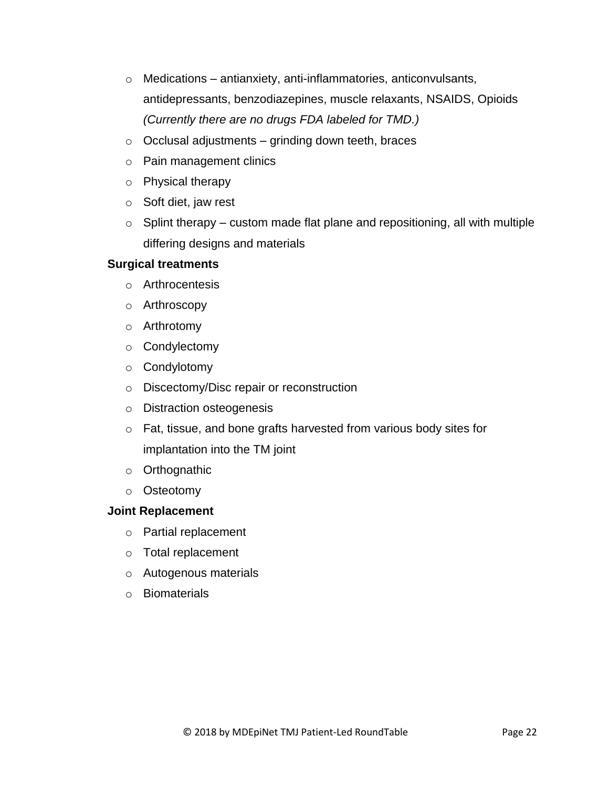- $\circ$  Medications antianxiety, anti-inflammatories, anticonvulsants, antidepressants, benzodiazepines, muscle relaxants, NSAIDS, Opioids *(Currently there are no drugs FDA labeled for TMD.)*
- $\circ$  Occlusal adjustments grinding down teeth, braces
- o Pain management clinics
- o Physical therapy
- o Soft diet, jaw rest
- $\circ$  Splint therapy custom made flat plane and repositioning, all with multiple differing designs and materials

#### **Surgical treatments**

- o Arthrocentesis
- o Arthroscopy
- o Arthrotomy
- o Condylectomy
- o Condylotomy
- o Discectomy/Disc repair or reconstruction
- o Distraction osteogenesis
- o Fat, tissue, and bone grafts harvested from various body sites for implantation into the TM joint
- o Orthognathic
- o Osteotomy

#### **Joint Replacement**

- o Partial replacement
- o Total replacement
- o Autogenous materials
- o Biomaterials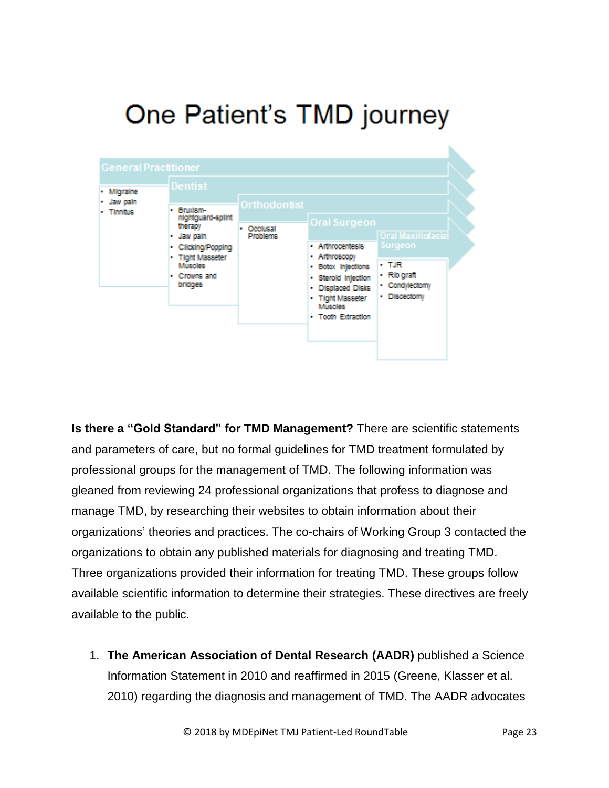# One Patient's TMD journey



**Is there a "Gold Standard" for TMD Management?** There are scientific statements and parameters of care, but no formal guidelines for TMD treatment formulated by professional groups for the management of TMD. The following information was gleaned from reviewing 24 professional organizations that profess to diagnose and manage TMD, by researching their websites to obtain information about their organizations' theories and practices. The co-chairs of Working Group 3 contacted the organizations to obtain any published materials for diagnosing and treating TMD. Three organizations provided their information for treating TMD. These groups follow available scientific information to determine their strategies. These directives are freely available to the public.

1. **The American Association of Dental Research (AADR)** published a Science Information Statement in 2010 and reaffirmed in 2015 (Greene, Klasser et al. 2010) regarding the diagnosis and management of TMD. The AADR advocates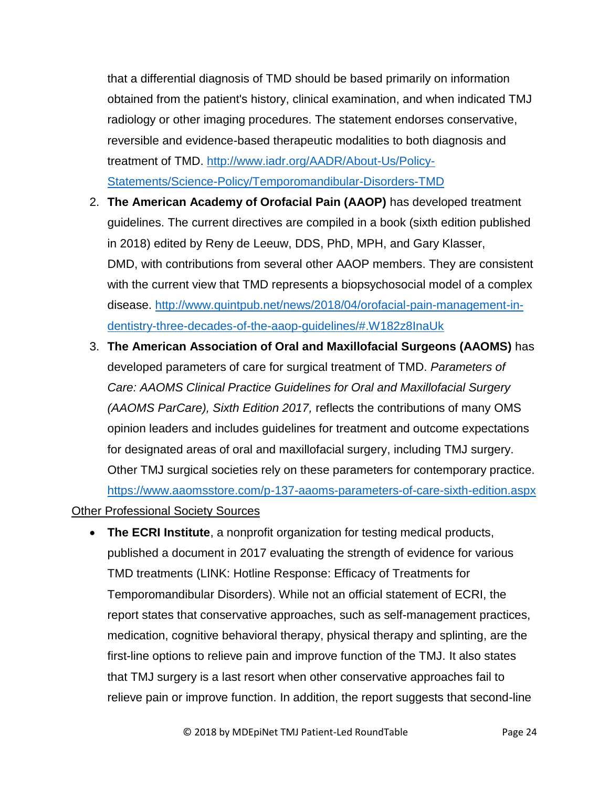that a differential diagnosis of TMD should be based primarily on information obtained from the patient's history, clinical examination, and when indicated TMJ radiology or other imaging procedures. The statement endorses conservative, reversible and evidence-based therapeutic modalities to both diagnosis and treatment of TMD. [http://www.iadr.org/AADR/About-Us/Policy-](http://www.iadr.org/AADR/About-Us/Policy-Statements/Science-Policy/Temporomandibular-Disorders-TMD)[Statements/Science-Policy/Temporomandibular-Disorders-TMD](http://www.iadr.org/AADR/About-Us/Policy-Statements/Science-Policy/Temporomandibular-Disorders-TMD)

- 2. **The American Academy of Orofacial Pain (AAOP)** has developed treatment guidelines. The current directives are compiled in a book (sixth edition published in 2018) edited by Reny de Leeuw, DDS, PhD, MPH, and Gary Klasser, DMD, with contributions from several other AAOP members. They are consistent with the current view that TMD represents a biopsychosocial model of a complex disease. [http://www.quintpub.net/news/2018/04/orofacial-pain-management-in](http://www.quintpub.net/news/2018/04/orofacial-pain-management-in-dentistry-three-decades-of-the-aaop-guidelines/#.W182z8InaUk)[dentistry-three-decades-of-the-aaop-guidelines/#.W182z8InaUk](http://www.quintpub.net/news/2018/04/orofacial-pain-management-in-dentistry-three-decades-of-the-aaop-guidelines/#.W182z8InaUk)
- 3. **The American Association of Oral and Maxillofacial Surgeons (AAOMS)** has developed parameters of care for surgical treatment of TMD. *Parameters of Care: AAOMS Clinical Practice Guidelines for Oral and Maxillofacial Surgery (AAOMS ParCare), Sixth Edition 2017,* reflects the contributions of many OMS opinion leaders and includes guidelines for treatment and outcome expectations for designated areas of oral and maxillofacial surgery, including TMJ surgery. Other TMJ surgical societies rely on these parameters for contemporary practice. <https://www.aaomsstore.com/p-137-aaoms-parameters-of-care-sixth-edition.aspx>

#### Other Professional Society Sources

 **The ECRI Institute**, a nonprofit organization for testing medical products, published a document in 2017 evaluating the strength of evidence for various TMD treatments (LINK: Hotline Response: Efficacy of Treatments for Temporomandibular Disorders). While not an official statement of ECRI, the report states that conservative approaches, such as self-management practices, medication, cognitive behavioral therapy, physical therapy and splinting, are the first-line options to relieve pain and improve function of the TMJ. It also states that TMJ surgery is a last resort when other conservative approaches fail to relieve pain or improve function. In addition, the report suggests that second-line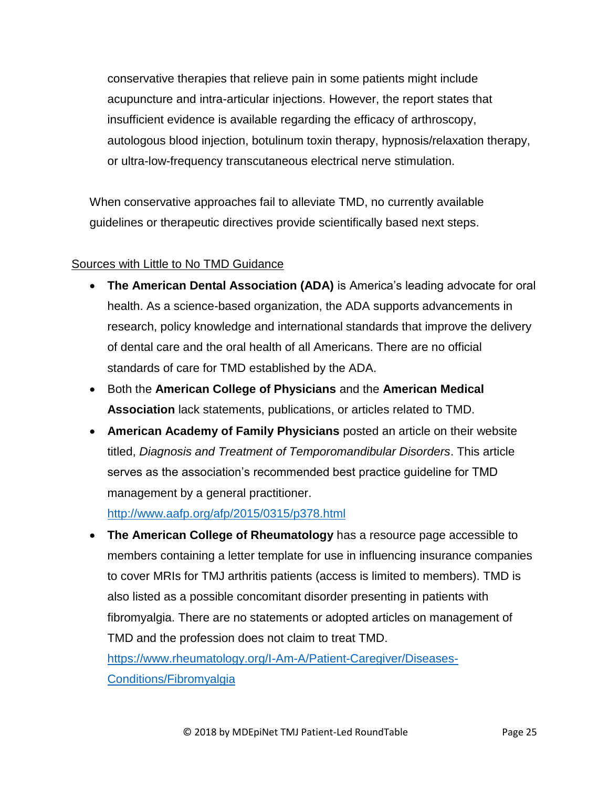conservative therapies that relieve pain in some patients might include acupuncture and intra-articular injections. However, the report states that insufficient evidence is available regarding the efficacy of arthroscopy, autologous blood injection, botulinum toxin therapy, hypnosis/relaxation therapy, or ultra-low-frequency transcutaneous electrical nerve stimulation.

When conservative approaches fail to alleviate TMD, no currently available guidelines or therapeutic directives provide scientifically based next steps.

## Sources with Little to No TMD Guidance

- **The American Dental Association (ADA)** is America's leading advocate for oral health. As a science-based organization, the ADA supports advancements in research, policy knowledge and international standards that improve the delivery of dental care and the oral health of all Americans. There are no official standards of care for TMD established by the ADA.
- Both the **American College of Physicians** and the **American Medical Association** lack statements, publications, or articles related to TMD.
- **American Academy of Family Physicians** posted an article on their website titled, *Diagnosis and Treatment of Temporomandibular Disorders*. This article serves as the association's recommended best practice guideline for TMD management by a general practitioner.

<http://www.aafp.org/afp/2015/0315/p378.html>

 **The American College of Rheumatology** has a resource page accessible to members containing a letter template for use in influencing insurance companies to cover MRIs for TMJ arthritis patients (access is limited to members). TMD is also listed as a possible concomitant disorder presenting in patients with fibromyalgia. There are no statements or adopted articles on management of TMD and the profession does not claim to treat TMD. [https://www.rheumatology.org/I-Am-A/Patient-Caregiver/Diseases-](https://www.rheumatology.org/I-Am-A/Patient-Caregiver/Diseases-Conditions/Fibromyalgia)[Conditions/Fibromyalgia](https://www.rheumatology.org/I-Am-A/Patient-Caregiver/Diseases-Conditions/Fibromyalgia)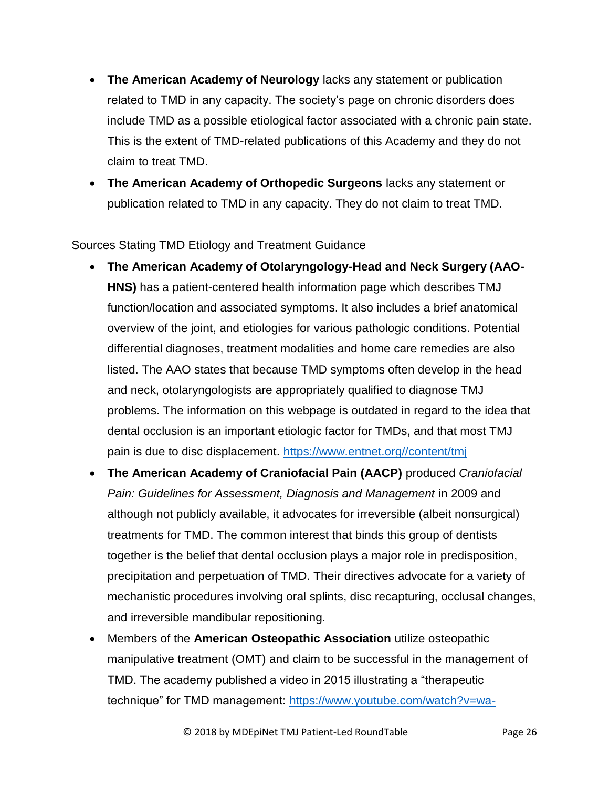- **The American Academy of Neurology** lacks any statement or publication related to TMD in any capacity. The society's page on chronic disorders does include TMD as a possible etiological factor associated with a chronic pain state. This is the extent of TMD-related publications of this Academy and they do not claim to treat TMD.
- **The American Academy of Orthopedic Surgeons** lacks any statement or publication related to TMD in any capacity. They do not claim to treat TMD.

## Sources Stating TMD Etiology and Treatment Guidance

- **The American Academy of Otolaryngology-Head and Neck Surgery (AAO-HNS)** has a patient-centered health information page which describes TMJ function/location and associated symptoms. It also includes a brief anatomical overview of the joint, and etiologies for various pathologic conditions. Potential differential diagnoses, treatment modalities and home care remedies are also listed. The AAO states that because TMD symptoms often develop in the head and neck, otolaryngologists are appropriately qualified to diagnose TMJ problems. The information on this webpage is outdated in regard to the idea that dental occlusion is an important etiologic factor for TMDs, and that most TMJ pain is due to disc displacement. [https://www.entnet.org//content/tmj](https://www.entnet.org/content/tmj)
- **The American Academy of Craniofacial Pain (AACP)** produced *Craniofacial Pain: Guidelines for Assessment, Diagnosis and Management* in 2009 and although not publicly available, it advocates for irreversible (albeit nonsurgical) treatments for TMD. The common interest that binds this group of dentists together is the belief that dental occlusion plays a major role in predisposition, precipitation and perpetuation of TMD. Their directives advocate for a variety of mechanistic procedures involving oral splints, disc recapturing, occlusal changes, and irreversible mandibular repositioning.
- Members of the **American Osteopathic Association** utilize osteopathic manipulative treatment (OMT) and claim to be successful in the management of TMD. The academy published a video in 2015 illustrating a "therapeutic technique" for TMD management: [https://www.youtube.com/watch?v=wa-](https://www.youtube.com/watch?v=wa-WI2EvrCU)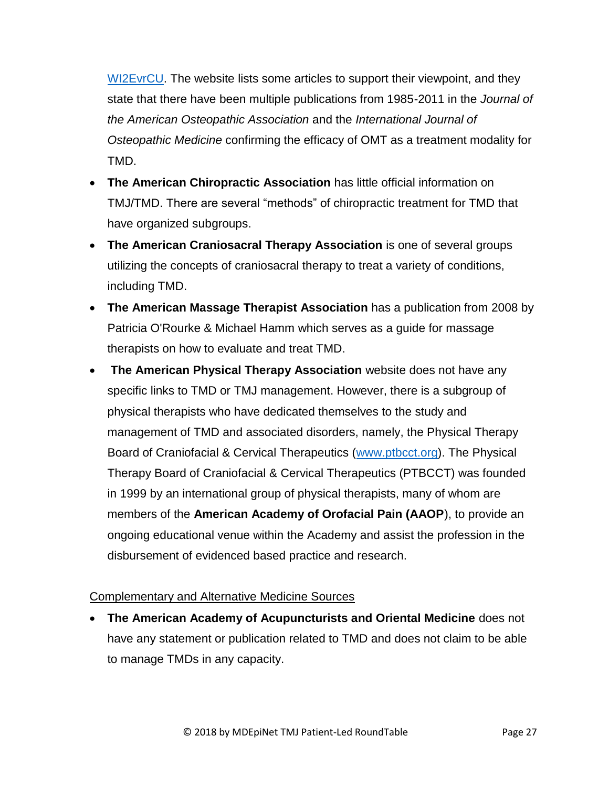[WI2EvrCU.](https://www.youtube.com/watch?v=wa-WI2EvrCU) The website lists some articles to support their viewpoint, and they state that there have been multiple publications from 1985-2011 in the *Journal of the American Osteopathic Association* and the *International Journal of Osteopathic Medicine* confirming the efficacy of OMT as a treatment modality for TMD.

- **The American Chiropractic Association** has little official information on TMJ/TMD. There are several "methods" of chiropractic treatment for TMD that have organized subgroups.
- **The American Craniosacral Therapy Association** is one of several groups utilizing the concepts of craniosacral therapy to treat a variety of conditions, including TMD.
- **The American Massage Therapist Association** has a publication from 2008 by Patricia O'Rourke & Michael Hamm which serves as a guide for massage therapists on how to evaluate and treat TMD.
- **The American Physical Therapy Association** website does not have any specific links to TMD or TMJ management. However, there is a subgroup of physical therapists who have dedicated themselves to the study and management of TMD and associated disorders, namely, the Physical Therapy Board of Craniofacial & Cervical Therapeutics [\(www.ptbcct.org\)](http://www.ptbcct.org/). The Physical Therapy Board of Craniofacial & Cervical Therapeutics (PTBCCT) was founded in 1999 by an international group of physical therapists, many of whom are members of the **American Academy of Orofacial Pain (AAOP**), to provide an ongoing educational venue within the Academy and assist the profession in the disbursement of evidenced based practice and research.

## Complementary and Alternative Medicine Sources

 **The American Academy of Acupuncturists and Oriental Medicine** does not have any statement or publication related to TMD and does not claim to be able to manage TMDs in any capacity.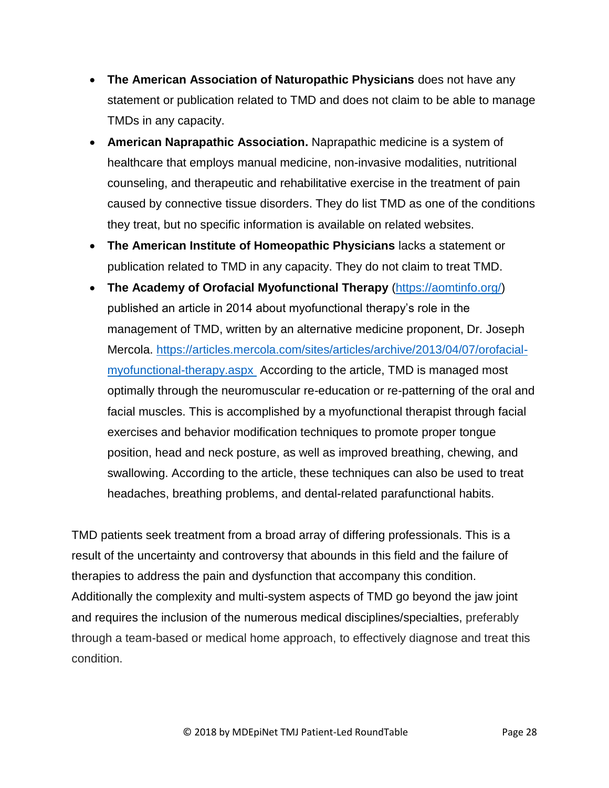- **The American Association of Naturopathic Physicians** does not have any statement or publication related to TMD and does not claim to be able to manage TMDs in any capacity.
- **American Naprapathic Association.** Naprapathic medicine is a system of healthcare that employs manual medicine, non-invasive modalities, nutritional counseling, and therapeutic and rehabilitative exercise in the treatment of pain caused by connective tissue disorders. They do list TMD as one of the conditions they treat, but no specific information is available on related websites.
- **The American Institute of Homeopathic Physicians** lacks a statement or publication related to TMD in any capacity. They do not claim to treat TMD.
- **The Academy of Orofacial Myofunctional Therapy** [\(https://aomtinfo.org/\)](https://aomtinfo.org/) published an article in 2014 about myofunctional therapy's role in the management of TMD, written by an alternative medicine proponent, Dr. Joseph Mercola. [https://articles.mercola.com/sites/articles/archive/2013/04/07/orofacial](https://articles.mercola.com/sites/articles/archive/2013/04/07/orofacial-myofunctional-therapy.aspx)[myofunctional-therapy.aspx](https://articles.mercola.com/sites/articles/archive/2013/04/07/orofacial-myofunctional-therapy.aspx) According to the article, TMD is managed most optimally through the neuromuscular re-education or re-patterning of the oral and facial muscles. This is accomplished by a myofunctional therapist through facial exercises and behavior modification techniques to promote proper tongue position, head and neck posture, as well as improved breathing, chewing, and swallowing. According to the article, these techniques can also be used to treat headaches, breathing problems, and dental-related parafunctional habits.

TMD patients seek treatment from a broad array of differing professionals. This is a result of the uncertainty and controversy that abounds in this field and the failure of therapies to address the pain and dysfunction that accompany this condition. Additionally the complexity and multi-system aspects of TMD go beyond the jaw joint and requires the inclusion of the numerous medical disciplines/specialties, preferably through a team-based or medical home approach, to effectively diagnose and treat this condition.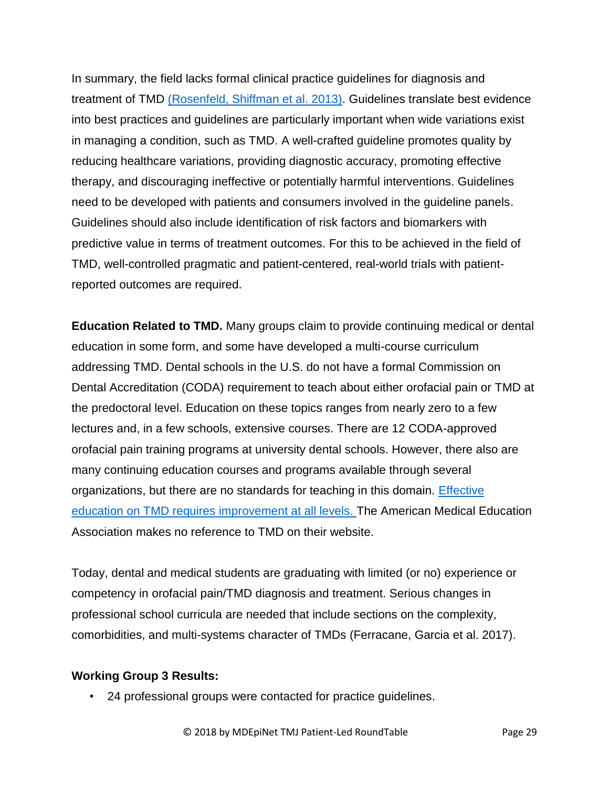In summary, the field lacks formal clinical practice guidelines for diagnosis and treatment of TMD (Rosenfeld, Shiffman et al. 2013). Guidelines translate best evidence into best practices and guidelines are particularly important when wide variations exist in managing a condition, such as TMD. A well-crafted guideline promotes quality by reducing healthcare variations, providing diagnostic accuracy, promoting effective therapy, and discouraging ineffective or potentially harmful interventions. Guidelines need to be developed with patients and consumers involved in the guideline panels. Guidelines should also include identification of risk factors and biomarkers with predictive value in terms of treatment outcomes. For this to be achieved in the field of TMD, well-controlled pragmatic and patient-centered, real-world trials with patientreported outcomes are required.

**Education Related to TMD.** Many groups claim to provide continuing medical or dental education in some form, and some have developed a multi-course curriculum addressing TMD. Dental schools in the U.S. do not have a formal Commission on Dental Accreditation (CODA) requirement to teach about either orofacial pain or TMD at the predoctoral level. Education on these topics ranges from nearly zero to a few lectures and, in a few schools, extensive courses. There are 12 CODA-approved orofacial pain training programs at university dental schools. However, there also are many continuing education courses and programs available through several organizations, but there are no standards for teaching in this domain. [Effective](https://www.statnews.com/2017/07/17/dentistry-medicine-division/)  education on TMD [requires improvement at all levels. T](https://www.statnews.com/2017/07/17/dentistry-medicine-division/)he American Medical Education Association makes no reference to TMD on their website.

Today, dental and medical students are graduating with limited (or no) experience or competency in orofacial pain/TMD diagnosis and treatment. Serious changes in professional school curricula are needed that include sections on the complexity, comorbidities, and multi-systems character of TMDs (Ferracane, Garcia et al. 2017).

#### **Working Group 3 Results:**

• 24 professional groups were contacted for practice guidelines.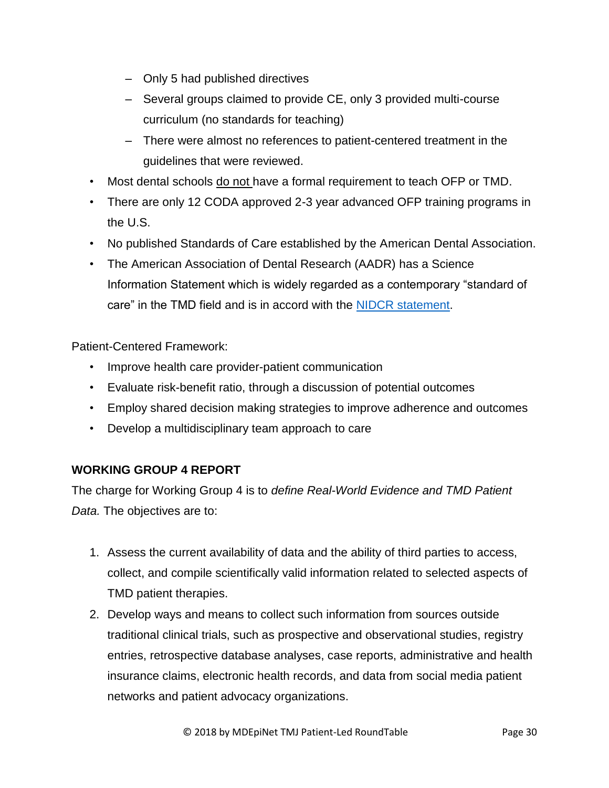- Only 5 had published directives
- Several groups claimed to provide CE, only 3 provided multi-course curriculum (no standards for teaching)
- There were almost no references to patient-centered treatment in the guidelines that were reviewed.
- Most dental schools do not have a formal requirement to teach OFP or TMD.
- There are only 12 CODA approved 2-3 year advanced OFP training programs in the U.S.
- No published Standards of Care established by the American Dental Association.
- The American Association of Dental Research (AADR) has a Science Information Statement which is widely regarded as a contemporary "standard of care" in the TMD field and is in accord with the [NIDCR statement.](https://www.nidcr.nih.gov/oralhealth/Topics/TMJ/TMJDisorders.htm)

Patient-Centered Framework:

- Improve health care provider-patient communication
- Evaluate risk-benefit ratio, through a discussion of potential outcomes
- Employ shared decision making strategies to improve adherence and outcomes
- Develop a multidisciplinary team approach to care

## **WORKING GROUP 4 REPORT**

The charge for Working Group 4 is to *define Real-World Evidence and TMD Patient Data.* The objectives are to:

- 1. Assess the current availability of data and the ability of third parties to access, collect, and compile scientifically valid information related to selected aspects of TMD patient therapies.
- 2. Develop ways and means to collect such information from sources outside traditional clinical trials, such as prospective and observational studies, registry entries, retrospective database analyses, case reports, administrative and health insurance claims, electronic health records, and data from social media patient networks and patient advocacy organizations.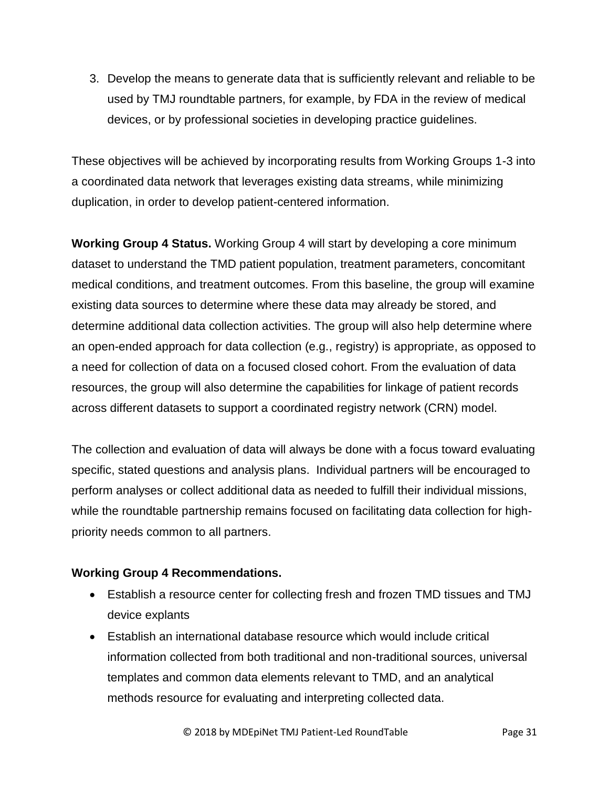3. Develop the means to generate data that is sufficiently relevant and reliable to be used by TMJ roundtable partners, for example, by FDA in the review of medical devices, or by professional societies in developing practice guidelines.

These objectives will be achieved by incorporating results from Working Groups 1-3 into a coordinated data network that leverages existing data streams, while minimizing duplication, in order to develop patient-centered information.

**Working Group 4 Status.** Working Group 4 will start by developing a core minimum dataset to understand the TMD patient population, treatment parameters, concomitant medical conditions, and treatment outcomes. From this baseline, the group will examine existing data sources to determine where these data may already be stored, and determine additional data collection activities. The group will also help determine where an open-ended approach for data collection (e.g., registry) is appropriate, as opposed to a need for collection of data on a focused closed cohort. From the evaluation of data resources, the group will also determine the capabilities for linkage of patient records across different datasets to support a coordinated registry network (CRN) model.

The collection and evaluation of data will always be done with a focus toward evaluating specific, stated questions and analysis plans. Individual partners will be encouraged to perform analyses or collect additional data as needed to fulfill their individual missions, while the roundtable partnership remains focused on facilitating data collection for highpriority needs common to all partners.

## **Working Group 4 Recommendations.**

- Establish a resource center for collecting fresh and frozen TMD tissues and TMJ device explants
- Establish an international database resource which would include critical information collected from both traditional and non-traditional sources, universal templates and common data elements relevant to TMD, and an analytical methods resource for evaluating and interpreting collected data.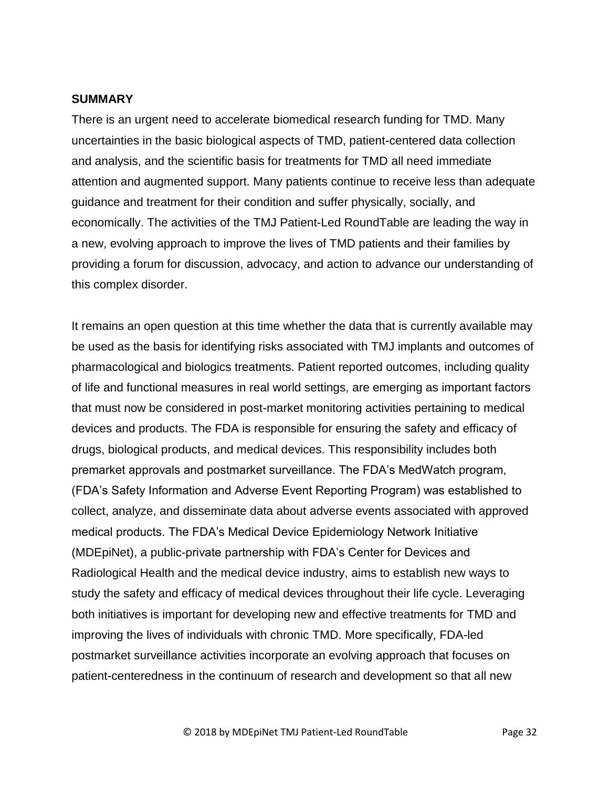#### **SUMMARY**

There is an urgent need to accelerate biomedical research funding for TMD. Many uncertainties in the basic biological aspects of TMD, patient-centered data collection and analysis, and the scientific basis for treatments for TMD all need immediate attention and augmented support. Many patients continue to receive less than adequate guidance and treatment for their condition and suffer physically, socially, and economically. The activities of the TMJ Patient-Led RoundTable are leading the way in a new, evolving approach to improve the lives of TMD patients and their families by providing a forum for discussion, advocacy, and action to advance our understanding of this complex disorder.

It remains an open question at this time whether the data that is currently available may be used as the basis for identifying risks associated with TMJ implants and outcomes of pharmacological and biologics treatments. Patient reported outcomes, including quality of life and functional measures in real world settings, are emerging as important factors that must now be considered in post-market monitoring activities pertaining to medical devices and products. The FDA is responsible for ensuring the safety and efficacy of drugs, biological products, and medical devices. This responsibility includes both premarket approvals and postmarket surveillance. The FDA's MedWatch program, (FDA's Safety Information and Adverse Event Reporting Program) was established to collect, analyze, and disseminate data about adverse events associated with approved medical products. The FDA's Medical Device Epidemiology Network Initiative (MDEpiNet), a public-private partnership with FDA's Center for Devices and Radiological Health and the medical device industry, aims to establish new ways to study the safety and efficacy of medical devices throughout their life cycle. Leveraging both initiatives is important for developing new and effective treatments for TMD and improving the lives of individuals with chronic TMD. More specifically, FDA-led postmarket surveillance activities incorporate an evolving approach that focuses on patient-centeredness in the continuum of research and development so that all new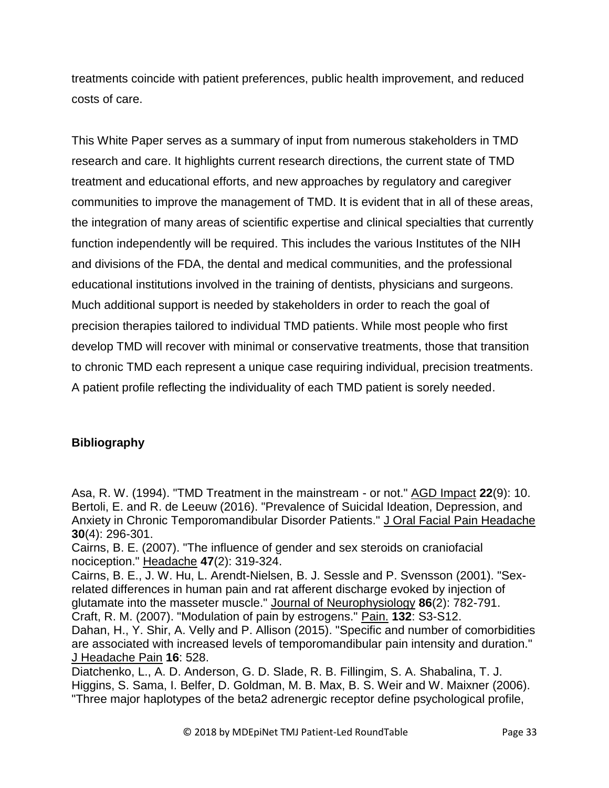treatments coincide with patient preferences, public health improvement, and reduced costs of care.

This White Paper serves as a summary of input from numerous stakeholders in TMD research and care. It highlights current research directions, the current state of TMD treatment and educational efforts, and new approaches by regulatory and caregiver communities to improve the management of TMD. It is evident that in all of these areas, the integration of many areas of scientific expertise and clinical specialties that currently function independently will be required. This includes the various Institutes of the NIH and divisions of the FDA, the dental and medical communities, and the professional educational institutions involved in the training of dentists, physicians and surgeons. Much additional support is needed by stakeholders in order to reach the goal of precision therapies tailored to individual TMD patients. While most people who first develop TMD will recover with minimal or conservative treatments, those that transition to chronic TMD each represent a unique case requiring individual, precision treatments. A patient profile reflecting the individuality of each TMD patient is sorely needed.

## **Bibliography**

Asa, R. W. (1994). "TMD Treatment in the mainstream - or not." AGD Impact **22**(9): 10. Bertoli, E. and R. de Leeuw (2016). "Prevalence of Suicidal Ideation, Depression, and Anxiety in Chronic Temporomandibular Disorder Patients." J Oral Facial Pain Headache **30**(4): 296-301.

Cairns, B. E. (2007). "The influence of gender and sex steroids on craniofacial nociception." Headache **47**(2): 319-324.

Cairns, B. E., J. W. Hu, L. Arendt-Nielsen, B. J. Sessle and P. Svensson (2001). "Sexrelated differences in human pain and rat afferent discharge evoked by injection of glutamate into the masseter muscle." Journal of Neurophysiology **86**(2): 782-791. Craft, R. M. (2007). "Modulation of pain by estrogens." Pain. **132**: S3-S12.

Dahan, H., Y. Shir, A. Velly and P. Allison (2015). "Specific and number of comorbidities are associated with increased levels of temporomandibular pain intensity and duration." J Headache Pain **16**: 528.

Diatchenko, L., A. D. Anderson, G. D. Slade, R. B. Fillingim, S. A. Shabalina, T. J. Higgins, S. Sama, I. Belfer, D. Goldman, M. B. Max, B. S. Weir and W. Maixner (2006). "Three major haplotypes of the beta2 adrenergic receptor define psychological profile,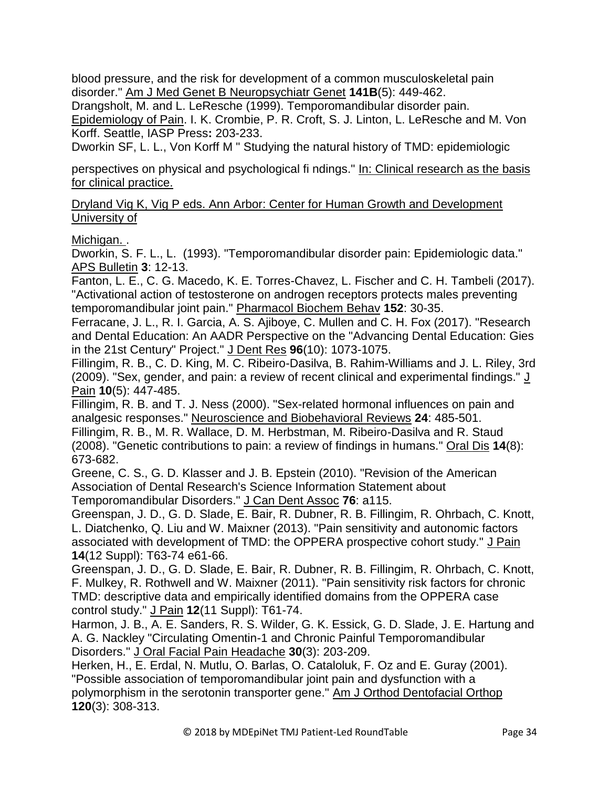blood pressure, and the risk for development of a common musculoskeletal pain disorder." Am J Med Genet B Neuropsychiatr Genet **141B**(5): 449-462.

Drangsholt, M. and L. LeResche (1999). Temporomandibular disorder pain. Epidemiology of Pain. I. K. Crombie, P. R. Croft, S. J. Linton, L. LeResche and M. Von Korff. Seattle, IASP Press**:** 203-233.

Dworkin SF, L. L., Von Korff M " Studying the natural history of TMD: epidemiologic

perspectives on physical and psychological fi ndings." In: Clinical research as the basis for clinical practice.

Dryland Vig K, Vig P eds. Ann Arbor: Center for Human Growth and Development University of

Michigan..

Dworkin, S. F. L., L. (1993). "Temporomandibular disorder pain: Epidemiologic data." APS Bulletin **3**: 12-13.

Fanton, L. E., C. G. Macedo, K. E. Torres-Chavez, L. Fischer and C. H. Tambeli (2017). "Activational action of testosterone on androgen receptors protects males preventing temporomandibular joint pain." Pharmacol Biochem Behav **152**: 30-35.

Ferracane, J. L., R. I. Garcia, A. S. Ajiboye, C. Mullen and C. H. Fox (2017). "Research and Dental Education: An AADR Perspective on the "Advancing Dental Education: Gies in the 21st Century" Project." J Dent Res **96**(10): 1073-1075.

Fillingim, R. B., C. D. King, M. C. Ribeiro-Dasilva, B. Rahim-Williams and J. L. Riley, 3rd (2009). "Sex, gender, and pain: a review of recent clinical and experimental findings." J Pain **10**(5): 447-485.

Fillingim, R. B. and T. J. Ness (2000). "Sex-related hormonal influences on pain and analgesic responses." Neuroscience and Biobehavioral Reviews **24**: 485-501.

Fillingim, R. B., M. R. Wallace, D. M. Herbstman, M. Ribeiro-Dasilva and R. Staud (2008). "Genetic contributions to pain: a review of findings in humans." Oral Dis **14**(8): 673-682.

Greene, C. S., G. D. Klasser and J. B. Epstein (2010). "Revision of the American Association of Dental Research's Science Information Statement about Temporomandibular Disorders." J Can Dent Assoc **76**: a115.

Greenspan, J. D., G. D. Slade, E. Bair, R. Dubner, R. B. Fillingim, R. Ohrbach, C. Knott, L. Diatchenko, Q. Liu and W. Maixner (2013). "Pain sensitivity and autonomic factors associated with development of TMD: the OPPERA prospective cohort study." J Pain **14**(12 Suppl): T63-74 e61-66.

Greenspan, J. D., G. D. Slade, E. Bair, R. Dubner, R. B. Fillingim, R. Ohrbach, C. Knott, F. Mulkey, R. Rothwell and W. Maixner (2011). "Pain sensitivity risk factors for chronic TMD: descriptive data and empirically identified domains from the OPPERA case control study." J Pain **12**(11 Suppl): T61-74.

Harmon, J. B., A. E. Sanders, R. S. Wilder, G. K. Essick, G. D. Slade, J. E. Hartung and A. G. Nackley "Circulating Omentin-1 and Chronic Painful Temporomandibular Disorders." J Oral Facial Pain Headache **30**(3): 203-209.

Herken, H., E. Erdal, N. Mutlu, O. Barlas, O. Cataloluk, F. Oz and E. Guray (2001). "Possible association of temporomandibular joint pain and dysfunction with a polymorphism in the serotonin transporter gene." Am J Orthod Dentofacial Orthop **120**(3): 308-313.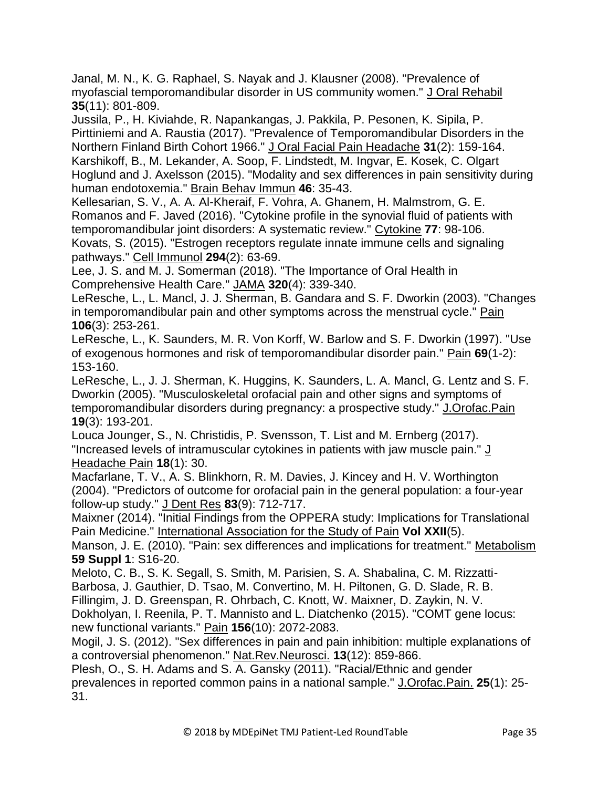Janal, M. N., K. G. Raphael, S. Nayak and J. Klausner (2008). "Prevalence of myofascial temporomandibular disorder in US community women." J Oral Rehabil **35**(11): 801-809.

Jussila, P., H. Kiviahde, R. Napankangas, J. Pakkila, P. Pesonen, K. Sipila, P. Pirttiniemi and A. Raustia (2017). "Prevalence of Temporomandibular Disorders in the Northern Finland Birth Cohort 1966." J Oral Facial Pain Headache **31**(2): 159-164. Karshikoff, B., M. Lekander, A. Soop, F. Lindstedt, M. Ingvar, E. Kosek, C. Olgart Hoglund and J. Axelsson (2015). "Modality and sex differences in pain sensitivity during human endotoxemia." Brain Behav Immun **46**: 35-43.

Kellesarian, S. V., A. A. Al-Kheraif, F. Vohra, A. Ghanem, H. Malmstrom, G. E. Romanos and F. Javed (2016). "Cytokine profile in the synovial fluid of patients with temporomandibular joint disorders: A systematic review." Cytokine **77**: 98-106. Kovats, S. (2015). "Estrogen receptors regulate innate immune cells and signaling pathways." Cell Immunol **294**(2): 63-69.

Lee, J. S. and M. J. Somerman (2018). "The Importance of Oral Health in Comprehensive Health Care." JAMA **320**(4): 339-340.

LeResche, L., L. Mancl, J. J. Sherman, B. Gandara and S. F. Dworkin (2003). "Changes in temporomandibular pain and other symptoms across the menstrual cycle." Pain **106**(3): 253-261.

LeResche, L., K. Saunders, M. R. Von Korff, W. Barlow and S. F. Dworkin (1997). "Use of exogenous hormones and risk of temporomandibular disorder pain." Pain **69**(1-2): 153-160.

LeResche, L., J. J. Sherman, K. Huggins, K. Saunders, L. A. Mancl, G. Lentz and S. F. Dworkin (2005). "Musculoskeletal orofacial pain and other signs and symptoms of temporomandibular disorders during pregnancy: a prospective study." J.Orofac.Pain **19**(3): 193-201.

Louca Jounger, S., N. Christidis, P. Svensson, T. List and M. Ernberg (2017). "Increased levels of intramuscular cytokines in patients with jaw muscle pain." J Headache Pain **18**(1): 30.

Macfarlane, T. V., A. S. Blinkhorn, R. M. Davies, J. Kincey and H. V. Worthington (2004). "Predictors of outcome for orofacial pain in the general population: a four-year follow-up study." J Dent Res **83**(9): 712-717.

Maixner (2014). "Initial Findings from the OPPERA study: Implications for Translational Pain Medicine." International Association for the Study of Pain **Vol XXII**(5).

Manson, J. E. (2010). "Pain: sex differences and implications for treatment." Metabolism **59 Suppl 1**: S16-20.

Meloto, C. B., S. K. Segall, S. Smith, M. Parisien, S. A. Shabalina, C. M. Rizzatti-Barbosa, J. Gauthier, D. Tsao, M. Convertino, M. H. Piltonen, G. D. Slade, R. B. Fillingim, J. D. Greenspan, R. Ohrbach, C. Knott, W. Maixner, D. Zaykin, N. V.

Dokholyan, I. Reenila, P. T. Mannisto and L. Diatchenko (2015). "COMT gene locus: new functional variants." Pain **156**(10): 2072-2083.

Mogil, J. S. (2012). "Sex differences in pain and pain inhibition: multiple explanations of a controversial phenomenon." Nat.Rev.Neurosci. **13**(12): 859-866.

Plesh, O., S. H. Adams and S. A. Gansky (2011). "Racial/Ethnic and gender prevalences in reported common pains in a national sample." J.Orofac.Pain. **25**(1): 25- 31.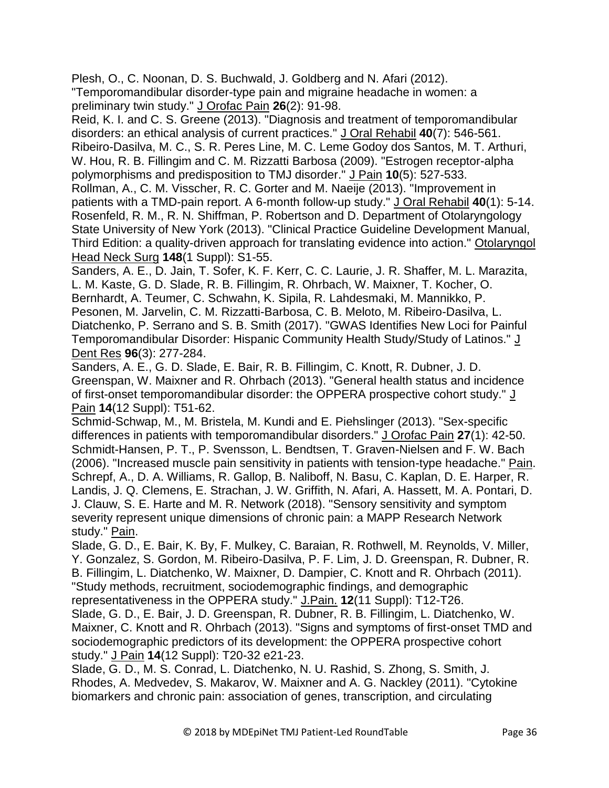Plesh, O., C. Noonan, D. S. Buchwald, J. Goldberg and N. Afari (2012). "Temporomandibular disorder-type pain and migraine headache in women: a preliminary twin study." J Orofac Pain **26**(2): 91-98.

Reid, K. I. and C. S. Greene (2013). "Diagnosis and treatment of temporomandibular disorders: an ethical analysis of current practices." J Oral Rehabil **40**(7): 546-561. Ribeiro-Dasilva, M. C., S. R. Peres Line, M. C. Leme Godoy dos Santos, M. T. Arthuri, W. Hou, R. B. Fillingim and C. M. Rizzatti Barbosa (2009). "Estrogen receptor-alpha polymorphisms and predisposition to TMJ disorder." J Pain **10**(5): 527-533.

Rollman, A., C. M. Visscher, R. C. Gorter and M. Naeije (2013). "Improvement in patients with a TMD-pain report. A 6-month follow-up study." J Oral Rehabil **40**(1): 5-14. Rosenfeld, R. M., R. N. Shiffman, P. Robertson and D. Department of Otolaryngology State University of New York (2013). "Clinical Practice Guideline Development Manual, Third Edition: a quality-driven approach for translating evidence into action." Otolaryngol Head Neck Surg **148**(1 Suppl): S1-55.

Sanders, A. E., D. Jain, T. Sofer, K. F. Kerr, C. C. Laurie, J. R. Shaffer, M. L. Marazita, L. M. Kaste, G. D. Slade, R. B. Fillingim, R. Ohrbach, W. Maixner, T. Kocher, O. Bernhardt, A. Teumer, C. Schwahn, K. Sipila, R. Lahdesmaki, M. Mannikko, P. Pesonen, M. Jarvelin, C. M. Rizzatti-Barbosa, C. B. Meloto, M. Ribeiro-Dasilva, L. Diatchenko, P. Serrano and S. B. Smith (2017). "GWAS Identifies New Loci for Painful Temporomandibular Disorder: Hispanic Community Health Study/Study of Latinos." J Dent Res **96**(3): 277-284.

Sanders, A. E., G. D. Slade, E. Bair, R. B. Fillingim, C. Knott, R. Dubner, J. D. Greenspan, W. Maixner and R. Ohrbach (2013). "General health status and incidence of first-onset temporomandibular disorder: the OPPERA prospective cohort study." J Pain **14**(12 Suppl): T51-62.

Schmid-Schwap, M., M. Bristela, M. Kundi and E. Piehslinger (2013). "Sex-specific differences in patients with temporomandibular disorders." J Orofac Pain **27**(1): 42-50. Schmidt-Hansen, P. T., P. Svensson, L. Bendtsen, T. Graven-Nielsen and F. W. Bach (2006). "Increased muscle pain sensitivity in patients with tension-type headache." Pain. Schrepf, A., D. A. Williams, R. Gallop, B. Naliboff, N. Basu, C. Kaplan, D. E. Harper, R. Landis, J. Q. Clemens, E. Strachan, J. W. Griffith, N. Afari, A. Hassett, M. A. Pontari, D. J. Clauw, S. E. Harte and M. R. Network (2018). "Sensory sensitivity and symptom severity represent unique dimensions of chronic pain: a MAPP Research Network study." Pain.

Slade, G. D., E. Bair, K. By, F. Mulkey, C. Baraian, R. Rothwell, M. Reynolds, V. Miller, Y. Gonzalez, S. Gordon, M. Ribeiro-Dasilva, P. F. Lim, J. D. Greenspan, R. Dubner, R. B. Fillingim, L. Diatchenko, W. Maixner, D. Dampier, C. Knott and R. Ohrbach (2011). "Study methods, recruitment, sociodemographic findings, and demographic representativeness in the OPPERA study." J.Pain. **12**(11 Suppl): T12-T26.

Slade, G. D., E. Bair, J. D. Greenspan, R. Dubner, R. B. Fillingim, L. Diatchenko, W. Maixner, C. Knott and R. Ohrbach (2013). "Signs and symptoms of first-onset TMD and sociodemographic predictors of its development: the OPPERA prospective cohort study." J Pain **14**(12 Suppl): T20-32 e21-23.

Slade, G. D., M. S. Conrad, L. Diatchenko, N. U. Rashid, S. Zhong, S. Smith, J. Rhodes, A. Medvedev, S. Makarov, W. Maixner and A. G. Nackley (2011). "Cytokine biomarkers and chronic pain: association of genes, transcription, and circulating